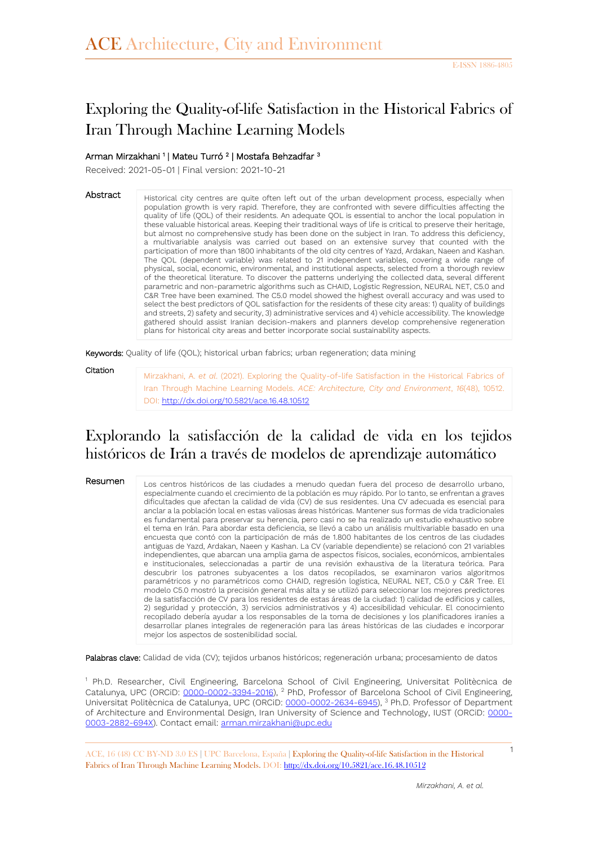# Exploring the Quality-of-life Satisfaction in the Historical Fabrics of Iran Through Machine Learning Models

#### Arman Mirzakhani 1 | Mateu Turró <sup>2</sup> | Mostafa Behzadfar <sup>3</sup>

Received: 2021-05-01 | Final version: 2021-10-21

Abstract Historical city centres are quite often left out of the urban development process, especially when population growth is very rapid. Therefore, they are confronted with severe difficulties affecting the quality of life (QOL) of their residents. An adequate QOL is essential to anchor the local population in these valuable historical areas. Keeping their traditional ways of life is critical to preserve their heritage, but almost no comprehensive study has been done on the subject in Iran. To address this deficiency, a multivariable analysis was carried out based on an extensive survey that counted with the participation of more than 1800 inhabitants of the old city centres of Yazd, Ardakan, Naeen and Kashan. The QOL (dependent variable) was related to 21 independent variables, covering a wide range of physical, social, economic, environmental, and institutional aspects, selected from a thorough review of the theoretical literature. To discover the patterns underlying the collected data, several different parametric and non-parametric algorithms such as CHAID, Logistic Regression, NEURAL NET, C5.0 and C&R Tree have been examined. The C5.0 model showed the highest overall accuracy and was used to select the best predictors of QOL satisfaction for the residents of these city areas: 1) quality of buildings and streets, 2) safety and security, 3) administrative services and 4) vehicle accessibility. The knowledge gathered should assist Iranian decision-makers and planners develop comprehensive regeneration plans for historical city areas and better incorporate social sustainability aspects.

Keywords: Quality of life (QOL); historical urban fabrics; urban regeneration; data mining

Citation

Mirzakhani, A. *et al*. (2021). Exploring the Quality-of-life Satisfaction in the Historical Fabrics of Iran Through Machine Learning Models. *ACE: Architecture, City and Environment*, *16*(48), 10512. DOI:<http://dx.doi.org/10.5821/ace.16.48.10512>

## Explorando la satisfacción de la calidad de vida en los tejidos históricos de Irán a través de modelos de aprendizaje automático

#### Resumen

Los centros históricos de las ciudades a menudo quedan fuera del proceso de desarrollo urbano, especialmente cuando el crecimiento de la población es muy rápido. Por lo tanto, se enfrentan a graves dificultades que afectan la calidad de vida (CV) de sus residentes. Una CV adecuada es esencial para anclar a la población local en estas valiosas áreas históricas. Mantener sus formas de vida tradicionales es fundamental para preservar su herencia, pero casi no se ha realizado un estudio exhaustivo sobre el tema en Irán. Para abordar esta deficiencia, se llevó a cabo un análisis multivariable basado en una encuesta que contó con la participación de más de 1.800 habitantes de los centros de las ciudades antiguas de Yazd, Ardakan, Naeen y Kashan. La CV (variable dependiente) se relacionó con 21 variables independientes, que abarcan una amplia gama de aspectos físicos, sociales, económicos, ambientales e institucionales, seleccionadas a partir de una revisión exhaustiva de la literatura teórica. Para descubrir los patrones subyacentes a los datos recopilados, se examinaron varios algoritmos paramétricos y no paramétricos como CHAID, regresión logística, NEURAL NET, C5.0 y C&R Tree. El modelo C5.0 mostró la precisión general más alta y se utilizó para seleccionar los mejores predictores de la satisfacción de CV para los residentes de estas áreas de la ciudad: 1) calidad de edificios y calles, 2) seguridad y protección, 3) servicios administrativos y 4) accesibilidad vehicular. El conocimiento recopilado debería ayudar a los responsables de la toma de decisiones y los planificadores iraníes a desarrollar planes integrales de regeneración para las áreas históricas de las ciudades e incorporar mejor los aspectos de sostenibilidad social.

Palabras clave: Calidad de vida (CV); tejidos urbanos históricos; regeneración urbana; procesamiento de datos

<sup>1</sup> Ph.D. Researcher, Civil Engineering, Barcelona School of Civil Engineering, Universitat Politècnica de Catalunya, UPC (ORCiD: [0000-0002-3394-2016\)](https://orcid.org/0000-0002-3394-2016), <sup>2</sup> PhD, Professor of Barcelona School of Civil Engineering, Universitat Politècnica de Catalunya, UPC (ORCiD: [0000-0002-2634-6945\)](https://orcid.org/0000-0002-2634-6945), <sup>3</sup> Ph.D. Professor of Department of Architecture and Environmental Design, Iran University of Science and Technology, IUST (ORCiD: [0000-](https://orcid.org/0000-0003-2882-694X) [0003-2882-694X\)](https://orcid.org/0000-0003-2882-694X). Contact email: [arman.mirzakhani@upc.edu](mailto:arman.mirzakhani@upc.edu)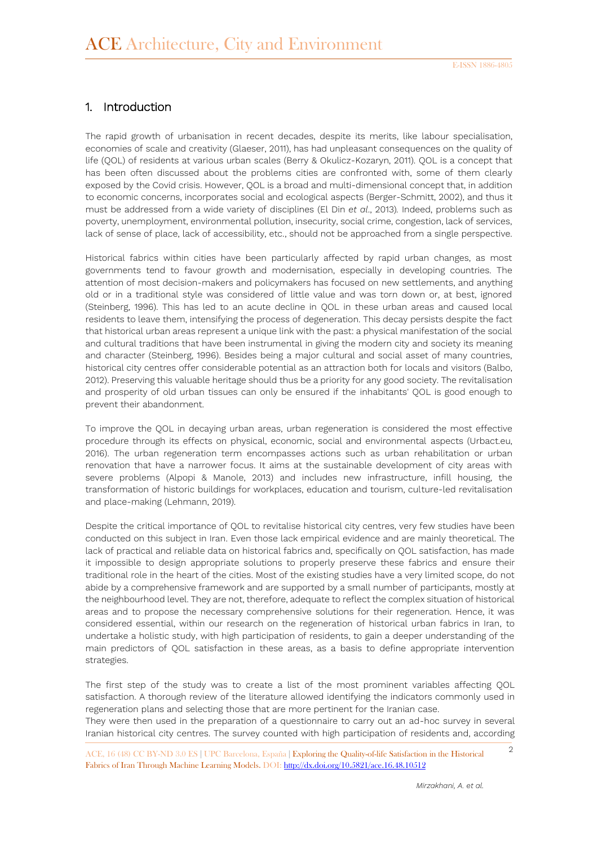#### 1. Introduction

The rapid growth of urbanisation in recent decades, despite its merits, like labour specialisation, economies of scale and creativity (Glaeser, 2011), has had unpleasant consequences on the quality of life (QOL) of residents at various urban scales (Berry & Okulicz-Kozaryn, 2011). QOL is a concept that has been often discussed about the problems cities are confronted with, some of them clearly exposed by the Covid crisis. However, QOL is a broad and multi-dimensional concept that, in addition to economic concerns, incorporates social and ecological aspects (Berger-Schmitt, 2002), and thus it must be addressed from a wide variety of disciplines (El Din *et al*., 2013)*.* Indeed, problems such as poverty, unemployment, environmental pollution, insecurity, social crime, congestion, lack of services, lack of sense of place, lack of accessibility, etc., should not be approached from a single perspective.

Historical fabrics within cities have been particularly affected by rapid urban changes, as most governments tend to favour growth and modernisation, especially in developing countries. The attention of most decision-makers and policymakers has focused on new settlements, and anything old or in a traditional style was considered of little value and was torn down or, at best, ignored (Steinberg, 1996). This has led to an acute decline in QOL in these urban areas and caused local residents to leave them, intensifying the process of degeneration. This decay persists despite the fact that historical urban areas represent a unique link with the past: a physical manifestation of the social and cultural traditions that have been instrumental in giving the modern city and society its meaning and character (Steinberg, 1996). Besides being a major cultural and social asset of many countries, historical city centres offer considerable potential as an attraction both for locals and visitors (Balbo, 2012). Preserving this valuable heritage should thus be a priority for any good society. The revitalisation and prosperity of old urban tissues can only be ensured if the inhabitants' QOL is good enough to prevent their abandonment.

To improve the QOL in decaying urban areas, urban regeneration is considered the most effective procedure through its effects on physical, economic, social and environmental aspects (Urbact.eu, 2016). The urban regeneration term encompasses actions such as urban rehabilitation or urban renovation that have a narrower focus. It aims at the sustainable development of city areas with severe problems (Alpopi & Manole, 2013) and includes new infrastructure, infill housing, the transformation of historic buildings for workplaces, education and tourism, culture-led revitalisation and place-making (Lehmann, 2019).

Despite the critical importance of QOL to revitalise historical city centres, very few studies have been conducted on this subject in Iran. Even those lack empirical evidence and are mainly theoretical. The lack of practical and reliable data on historical fabrics and, specifically on QOL satisfaction, has made it impossible to design appropriate solutions to properly preserve these fabrics and ensure their traditional role in the heart of the cities. Most of the existing studies have a very limited scope, do not abide by a comprehensive framework and are supported by a small number of participants, mostly at the neighbourhood level. They are not, therefore, adequate to reflect the complex situation of historical areas and to propose the necessary comprehensive solutions for their regeneration. Hence, it was considered essential, within our research on the regeneration of historical urban fabrics in Iran, to undertake a holistic study, with high participation of residents, to gain a deeper understanding of the main predictors of QOL satisfaction in these areas, as a basis to define appropriate intervention strategies.

The first step of the study was to create a list of the most prominent variables affecting QOL satisfaction. A thorough review of the literature allowed identifying the indicators commonly used in regeneration plans and selecting those that are more pertinent for the Iranian case.

They were then used in the preparation of a questionnaire to carry out an ad-hoc survey in several Iranian historical city centres. The survey counted with high participation of residents and, according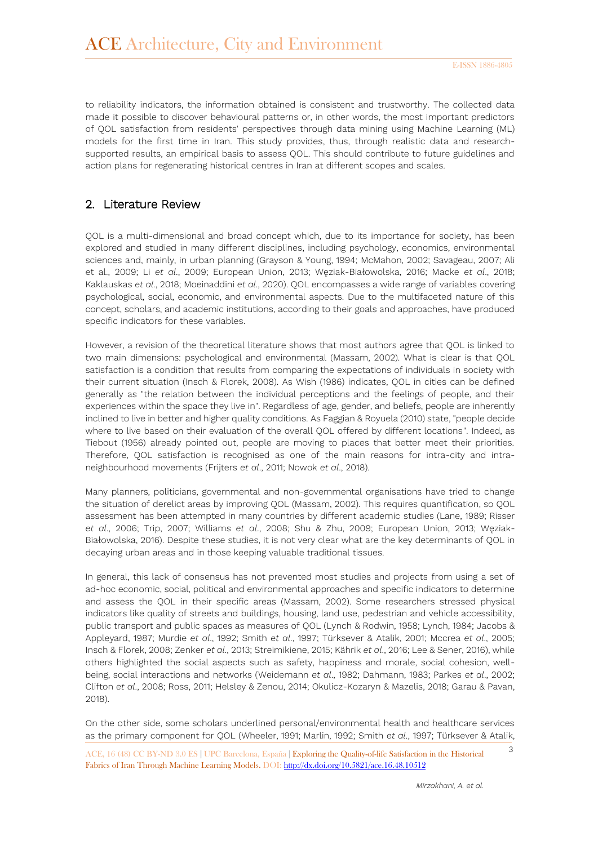to reliability indicators, the information obtained is consistent and trustworthy. The collected data made it possible to discover behavioural patterns or, in other words, the most important predictors of QOL satisfaction from residents' perspectives through data mining using Machine Learning (ML) models for the first time in Iran. This study provides, thus, through realistic data and researchsupported results, an empirical basis to assess QOL. This should contribute to future guidelines and action plans for regenerating historical centres in Iran at different scopes and scales.

### 2. Literature Review

QOL is a multi-dimensional and broad concept which, due to its importance for society, has been explored and studied in many different disciplines, including psychology, economics, environmental sciences and, mainly, in urban planning (Grayson & Young, 1994; McMahon, 2002; Savageau, 2007; Ali et al., 2009; Li *et al*., 2009; European Union, 2013; Węziak-Białowolska, 2016; Macke *et al*., 2018; Kaklauskas *et al*., 2018; Moeinaddini *et al*., 2020). QOL encompasses a wide range of variables covering psychological, social, economic, and environmental aspects. Due to the multifaceted nature of this concept, scholars, and academic institutions, according to their goals and approaches, have produced specific indicators for these variables.

However, a revision of the theoretical literature shows that most authors agree that QOL is linked to two main dimensions: psychological and environmental (Massam, 2002). What is clear is that QOL satisfaction is a condition that results from comparing the expectations of individuals in society with their current situation (Insch & Florek, 2008). As Wish (1986) indicates, QOL in cities can be defined generally as "the relation between the individual perceptions and the feelings of people, and their experiences within the space they live in". Regardless of age, gender, and beliefs, people are inherently inclined to live in better and higher quality conditions. As Faggian & Royuela (2010) state, "people decide where to live based on their evaluation of the overall QOL offered by different locations". Indeed, as Tiebout (1956) already pointed out, people are moving to places that better meet their priorities. Therefore, QOL satisfaction is recognised as one of the main reasons for intra-city and intraneighbourhood movements (Frijters *et al*., 2011; Nowok *et al*., 2018).

Many planners, politicians, governmental and non-governmental organisations have tried to change the situation of derelict areas by improving QOL (Massam, 2002). This requires quantification, so QOL assessment has been attempted in many countries by different academic studies (Lane, 1989; Risser *et al*., 2006; Trip, 2007; Williams *et al*., 2008; Shu & Zhu, 2009; European Union, 2013; Węziak-Białowolska, 2016). Despite these studies, it is not very clear what are the key determinants of QOL in decaying urban areas and in those keeping valuable traditional tissues.

In general, this lack of consensus has not prevented most studies and projects from using a set of ad-hoc economic, social, political and environmental approaches and specific indicators to determine and assess the QOL in their specific areas (Massam, 2002). Some researchers stressed physical indicators like quality of streets and buildings, housing, land use, pedestrian and vehicle accessibility, public transport and public spaces as measures of QOL (Lynch & Rodwin, 1958; Lynch, 1984; Jacobs & Appleyard, 1987; Murdie *et al*., 1992; Smith *et al*., 1997; Türksever & Atalik, 2001; Mccrea *et al*., 2005; Insch & Florek, 2008; Zenker *et al*., 2013; Streimikiene, 2015; Kährik *et al*., 2016; Lee & Sener, 2016), while others highlighted the social aspects such as safety, happiness and morale, social cohesion, wellbeing, social interactions and networks (Weidemann *et al*., 1982; Dahmann, 1983; Parkes *et al*., 2002; Clifton *et al*., 2008; Ross, 2011; Helsley & Zenou, 2014; Okulicz-Kozaryn & Mazelis, 2018; Garau & Pavan, 2018).

On the other side, some scholars underlined personal/environmental health and healthcare services as the primary component for QOL (Wheeler, 1991; Marlin, 1992; Smith *et al*., 1997; Türksever & Atalik,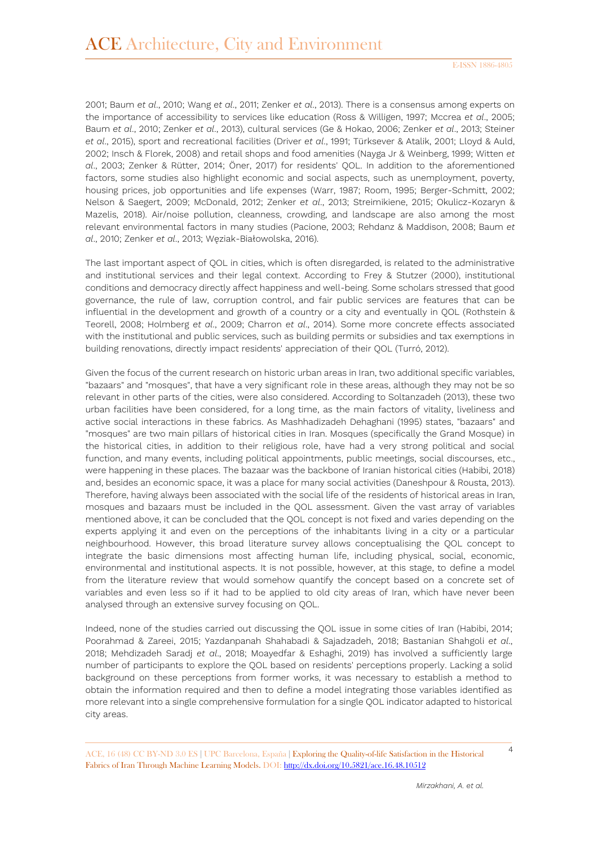2001; Baum *et al*., 2010; Wang *et al*., 2011; Zenker *et al*., 2013). There is a consensus among experts on the importance of accessibility to services like education (Ross & Willigen, 1997; Mccrea *et al*., 2005; Baum *et al*., 2010; Zenker *et al*., 2013), cultural services (Ge & Hokao, 2006; Zenker *et al*., 2013; Steiner *et al*., 2015), sport and recreational facilities (Driver *et al*., 1991; Türksever & Atalik, 2001; Lloyd & Auld, 2002; Insch & Florek, 2008) and retail shops and food amenities (Nayga Jr & Weinberg, 1999; Witten *et al*., 2003; Zenker & Rütter, 2014; Öner, 2017) for residents' QOL. In addition to the aforementioned factors, some studies also highlight economic and social aspects, such as unemployment, poverty, housing prices, job opportunities and life expenses (Warr, 1987; Room, 1995; Berger-Schmitt, 2002; Nelson & Saegert, 2009; McDonald, 2012; Zenker *et al*., 2013; Streimikiene, 2015; Okulicz-Kozaryn & Mazelis, 2018). Air/noise pollution, cleanness, crowding, and landscape are also among the most relevant environmental factors in many studies (Pacione, 2003; Rehdanz & Maddison, 2008; Baum *et al*., 2010; Zenker *et al*., 2013; Węziak-Białowolska, 2016).

The last important aspect of QOL in cities, which is often disregarded, is related to the administrative and institutional services and their legal context. According to Frey & Stutzer (2000), institutional conditions and democracy directly affect happiness and well-being. Some scholars stressed that good governance, the rule of law, corruption control, and fair public services are features that can be influential in the development and growth of a country or a city and eventually in QOL (Rothstein & Teorell, 2008; Holmberg *et al*., 2009; Charron *et al*., 2014). Some more concrete effects associated with the institutional and public services, such as building permits or subsidies and tax exemptions in building renovations, directly impact residents' appreciation of their QOL (Turró, 2012).

Given the focus of the current research on historic urban areas in Iran, two additional specific variables, "bazaars" and "mosques", that have a very significant role in these areas, although they may not be so relevant in other parts of the cities, were also considered. According to Soltanzadeh (2013), these two urban facilities have been considered, for a long time, as the main factors of vitality, liveliness and active social interactions in these fabrics. As Mashhadizadeh Dehaghani (1995) states, "bazaars" and "mosques" are two main pillars of historical cities in Iran. Mosques (specifically the Grand Mosque) in the historical cities, in addition to their religious role, have had a very strong political and social function, and many events, including political appointments, public meetings, social discourses, etc., were happening in these places. The bazaar was the backbone of Iranian historical cities (Habibi, 2018) and, besides an economic space, it was a place for many social activities (Daneshpour & Rousta, 2013). Therefore, having always been associated with the social life of the residents of historical areas in Iran, mosques and bazaars must be included in the QOL assessment. Given the vast array of variables mentioned above, it can be concluded that the QOL concept is not fixed and varies depending on the experts applying it and even on the perceptions of the inhabitants living in a city or a particular neighbourhood. However, this broad literature survey allows conceptualising the QOL concept to integrate the basic dimensions most affecting human life, including physical, social, economic, environmental and institutional aspects. It is not possible, however, at this stage, to define a model from the literature review that would somehow quantify the concept based on a concrete set of variables and even less so if it had to be applied to old city areas of Iran, which have never been analysed through an extensive survey focusing on QOL.

Indeed, none of the studies carried out discussing the QOL issue in some cities of Iran (Habibi, 2014; Poorahmad & Zareei, 2015; Yazdanpanah Shahabadi & Sajadzadeh, 2018; Bastanian Shahgoli *et al*., 2018; Mehdizadeh Saradj *et al*., 2018; Moayedfar & Eshaghi, 2019) has involved a sufficiently large number of participants to explore the QOL based on residents' perceptions properly. Lacking a solid background on these perceptions from former works, it was necessary to establish a method to obtain the information required and then to define a model integrating those variables identified as more relevant into a single comprehensive formulation for a single QOL indicator adapted to historical city areas.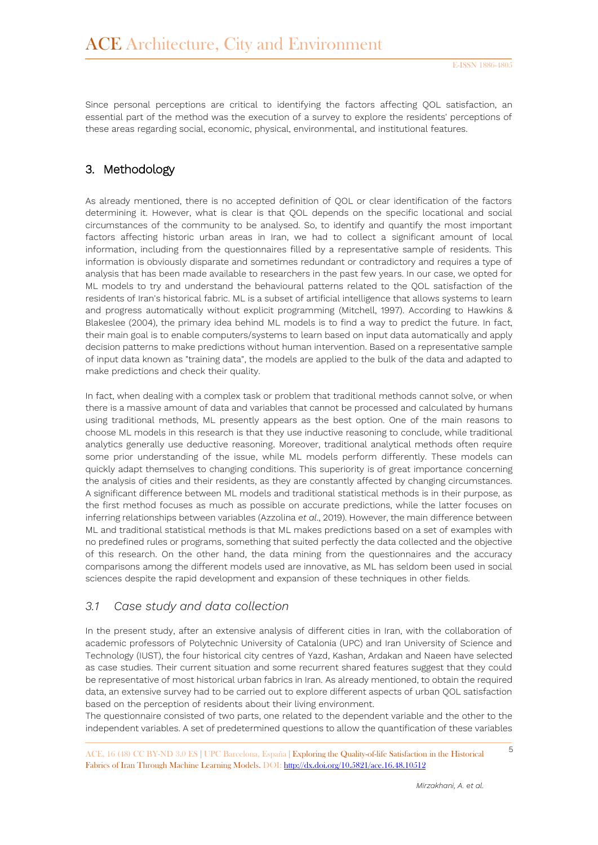Since personal perceptions are critical to identifying the factors affecting QOL satisfaction, an essential part of the method was the execution of a survey to explore the residents' perceptions of these areas regarding social, economic, physical, environmental, and institutional features.

### 3. Methodology

As already mentioned, there is no accepted definition of QOL or clear identification of the factors determining it. However, what is clear is that QOL depends on the specific locational and social circumstances of the community to be analysed. So, to identify and quantify the most important factors affecting historic urban areas in Iran, we had to collect a significant amount of local information, including from the questionnaires filled by a representative sample of residents. This information is obviously disparate and sometimes redundant or contradictory and requires a type of analysis that has been made available to researchers in the past few years. In our case, we opted for ML models to try and understand the behavioural patterns related to the QOL satisfaction of the residents of Iran's historical fabric. ML is a subset of artificial intelligence that allows systems to learn and progress automatically without explicit programming (Mitchell, 1997). According to Hawkins & Blakeslee (2004), the primary idea behind ML models is to find a way to predict the future. In fact, their main goal is to enable computers/systems to learn based on input data automatically and apply decision patterns to make predictions without human intervention. Based on a representative sample of input data known as "training data", the models are applied to the bulk of the data and adapted to make predictions and check their quality.

In fact, when dealing with a complex task or problem that traditional methods cannot solve, or when there is a massive amount of data and variables that cannot be processed and calculated by humans using traditional methods, ML presently appears as the best option. One of the main reasons to choose ML models in this research is that they use inductive reasoning to conclude, while traditional analytics generally use deductive reasoning. Moreover, traditional analytical methods often require some prior understanding of the issue, while ML models perform differently. These models can quickly adapt themselves to changing conditions. This superiority is of great importance concerning the analysis of cities and their residents, as they are constantly affected by changing circumstances. A significant difference between ML models and traditional statistical methods is in their purpose, as the first method focuses as much as possible on accurate predictions, while the latter focuses on inferring relationships between variables (Azzolina *et al*., 2019). However, the main difference between ML and traditional statistical methods is that ML makes predictions based on a set of examples with no predefined rules or programs, something that suited perfectly the data collected and the objective of this research. On the other hand, the data mining from the questionnaires and the accuracy comparisons among the different models used are innovative, as ML has seldom been used in social sciences despite the rapid development and expansion of these techniques in other fields.

### *3.1 Case study and data collection*

In the present study, after an extensive analysis of different cities in Iran, with the collaboration of academic professors of Polytechnic University of Catalonia (UPC) and Iran University of Science and Technology (IUST), the four historical city centres of Yazd, Kashan, Ardakan and Naeen have selected as case studies. Their current situation and some recurrent shared features suggest that they could be representative of most historical urban fabrics in Iran. As already mentioned, to obtain the required data, an extensive survey had to be carried out to explore different aspects of urban QOL satisfaction based on the perception of residents about their living environment.

The questionnaire consisted of two parts, one related to the dependent variable and the other to the independent variables. A set of predetermined questions to allow the quantification of these variables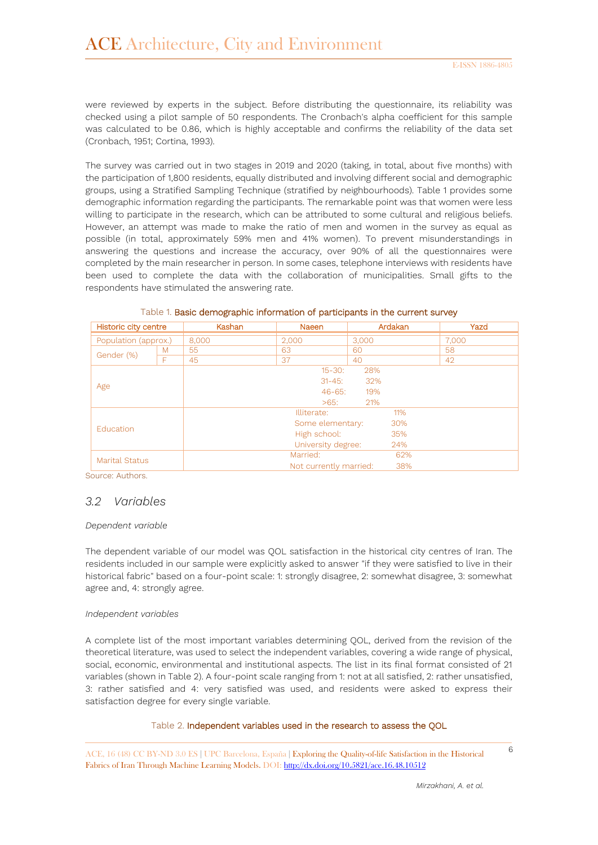were reviewed by experts in the subject. Before distributing the questionnaire, its reliability was checked using a pilot sample of 50 respondents. The Cronbach's alpha coefficient for this sample was calculated to be 0.86, which is highly acceptable and confirms the reliability of the data set (Cronbach, 1951; Cortina, 1993).

The survey was carried out in two stages in 2019 and 2020 (taking, in total, about five months) with the participation of 1,800 residents, equally distributed and involving different social and demographic groups, using a Stratified Sampling Technique (stratified by neighbourhoods). Table 1 provides some demographic information regarding the participants. The remarkable point was that women were less willing to participate in the research, which can be attributed to some cultural and religious beliefs. However, an attempt was made to make the ratio of men and women in the survey as equal as possible (in total, approximately 59% men and 41% women). To prevent misunderstandings in answering the questions and increase the accuracy, over 90% of all the questionnaires were completed by the main researcher in person. In some cases, telephone interviews with residents have been used to complete the data with the collaboration of municipalities. Small gifts to the respondents have stimulated the answering rate.

| Historic city centre  |   | Kashan             | <b>Naeen</b>           | Ardakan | Yazd  |  |
|-----------------------|---|--------------------|------------------------|---------|-------|--|
| Population (approx.)  |   | 8.000              | 2.000                  | 3,000   | 7.000 |  |
|                       | M | 55                 | 63                     | 60      | 58    |  |
| Gender (%)<br>F       |   | 45                 | 37                     | 40      | 42    |  |
|                       |   | 28%<br>$15 - 30:$  |                        |         |       |  |
|                       |   | $31 - 45$ :<br>32% |                        |         |       |  |
| Age                   |   | $46 - 65$ :<br>19% |                        |         |       |  |
|                       |   |                    | $>65$ :                | 21%     |       |  |
|                       |   |                    | Illiterate:            | 11%     |       |  |
|                       |   |                    | Some elementary:       | 30%     |       |  |
| <b>Education</b>      |   |                    | High school:           | 35%     |       |  |
|                       |   |                    | University degree:     | 24%     |       |  |
| <b>Marital Status</b> |   |                    | Married:               | 62%     |       |  |
|                       |   |                    | Not currently married: | 38%     |       |  |

#### Table 1. Basic demographic information of participants in the current survey

Source: Authors.

#### *3.2 Variables*

#### *Dependent variable*

The dependent variable of our model was QOL satisfaction in the historical city centres of Iran. The residents included in our sample were explicitly asked to answer "if they were satisfied to live in their historical fabric" based on a four-point scale: 1: strongly disagree, 2: somewhat disagree, 3: somewhat agree and, 4: strongly agree.

#### *Independent variables*

A complete list of the most important variables determining QOL, derived from the revision of the theoretical literature, was used to select the independent variables, covering a wide range of physical, social, economic, environmental and institutional aspects. The list in its final format consisted of 21 variables (shown in Table 2). A four-point scale ranging from 1: not at all satisfied, 2: rather unsatisfied, 3: rather satisfied and 4: very satisfied was used, and residents were asked to express their satisfaction degree for every single variable.

#### Table 2. Independent variables used in the research to assess the QOL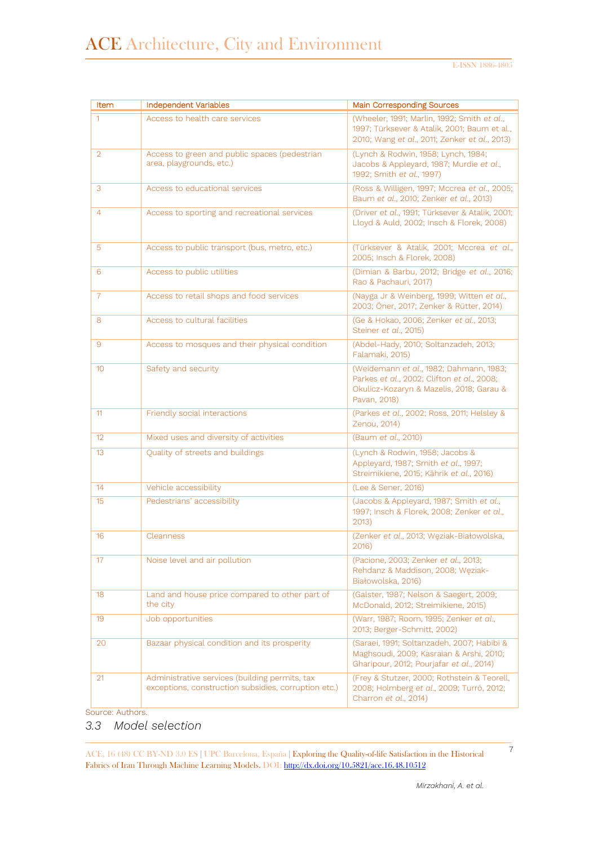| Item            | <b>Independent Variables</b>                                                                           | <b>Main Corresponding Sources</b>                                                                                                                 |  |
|-----------------|--------------------------------------------------------------------------------------------------------|---------------------------------------------------------------------------------------------------------------------------------------------------|--|
| $\mathbf{1}$    | Access to health care services                                                                         | (Wheeler, 1991; Marlin, 1992; Smith et al.,<br>1997; Türksever & Atalik, 2001; Baum et al.,<br>2010; Wang et al., 2011; Zenker et al., 2013)      |  |
| $\overline{2}$  | Access to green and public spaces (pedestrian<br>area, playgrounds, etc.)                              | (Lynch & Rodwin, 1958; Lynch, 1984;<br>Jacobs & Appleyard, 1987; Murdie et al.,<br>1992; Smith et al., 1997)                                      |  |
| 3               | Access to educational services                                                                         | (Ross & Willigen, 1997; Mccrea et al., 2005;<br>Baum et al., 2010; Zenker et al., 2013)                                                           |  |
| $\overline{4}$  | Access to sporting and recreational services                                                           | (Driver et al., 1991; Türksever & Atalik, 2001;<br>Lloyd & Auld, 2002; Insch & Florek, 2008)                                                      |  |
| 5               | Access to public transport (bus, metro, etc.)                                                          | (Türksever & Atalik, 2001; Mccrea et al.,<br>2005; Insch & Florek, 2008)                                                                          |  |
| 6               | Access to public utilities                                                                             | (Dimian & Barbu, 2012; Bridge et al., 2016;<br>Rao & Pachauri, 2017)                                                                              |  |
| $\overline{7}$  | Access to retail shops and food services                                                               | (Nayga Jr & Weinberg, 1999; Witten et al.,<br>2003; Öner, 2017; Zenker & Rütter, 2014)                                                            |  |
| 8               | Access to cultural facilities                                                                          | (Ge & Hokao, 2006; Zenker et al., 2013;<br>Steiner et al., 2015)                                                                                  |  |
| 9               | Access to mosques and their physical condition                                                         | (Abdel-Hady, 2010; Soltanzadeh, 2013;<br>Falamaki, 2015)                                                                                          |  |
| 10              | Safety and security                                                                                    | (Weidemann et al., 1982; Dahmann, 1983;<br>Parkes et al., 2002; Clifton et al., 2008;<br>Okulicz-Kozaryn & Mazelis, 2018; Garau &<br>Pavan, 2018) |  |
| 11              | Friendly social interactions                                                                           | (Parkes et al., 2002; Ross, 2011; Helsley &<br>Zenou, 2014)                                                                                       |  |
| 12 <sup>°</sup> | Mixed uses and diversity of activities                                                                 | (Baum et al., 2010)                                                                                                                               |  |
| 13              | Quality of streets and buildings                                                                       | (Lynch & Rodwin, 1958; Jacobs &<br>Appleyard, 1987; Smith et al., 1997;<br>Streimikiene, 2015; Kährik et al., 2016)                               |  |
| 14              | Vehicle accessibility                                                                                  | (Lee & Sener, 2016)                                                                                                                               |  |
| 15              | Pedestrians' accessibility                                                                             | (Jacobs & Appleyard, 1987; Smith et al.,<br>1997; Insch & Florek, 2008; Zenker et al.,<br>2013)                                                   |  |
| 16              | Cleanness                                                                                              | (Zenker et al., 2013; Węziak-Białowolska,<br>2016                                                                                                 |  |
| 17              | Noise level and air pollution                                                                          | (Pacione, 2003; Zenker et al., 2013;<br>Rehdanz & Maddison, 2008; Węziak-<br>Białowolska, 2016)                                                   |  |
| 18              | Land and house price compared to other part of<br>the city                                             | (Galster, 1987; Nelson & Saegert, 2009;<br>McDonald, 2012; Streimikiene, 2015)                                                                    |  |
| 19              | Job opportunities                                                                                      | (Warr, 1987; Room, 1995; Zenker et al.,<br>2013; Berger-Schmitt, 2002)                                                                            |  |
| 20              | Bazaar physical condition and its prosperity                                                           | (Saraei, 1991; Soltanzadeh, 2007; Habibi &<br>Maghsoudi, 2009; Kasraian & Arshi, 2010;<br>Gharipour, 2012; Pourjafar et al., 2014)                |  |
| 21              | Administrative services (building permits, tax<br>exceptions, construction subsidies, corruption etc.) | (Frey & Stutzer, 2000; Rothstein & Teorell,<br>2008; Holmberg et al., 2009; Turró, 2012;<br>Charron et al., 2014)                                 |  |

Source: Authors.

### *3.3 Model selection*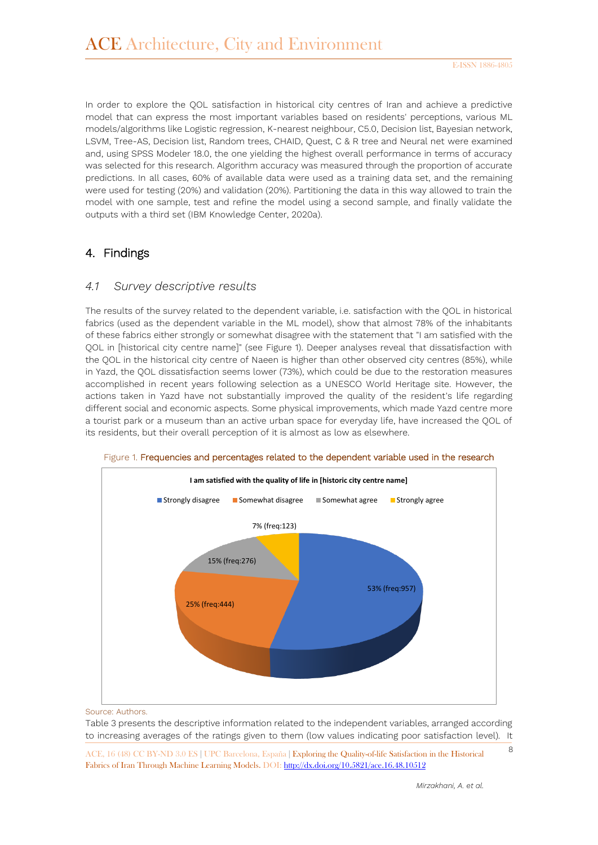In order to explore the QOL satisfaction in historical city centres of Iran and achieve a predictive model that can express the most important variables based on residents' perceptions, various ML models/algorithms like Logistic regression, K-nearest neighbour, C5.0, Decision list, Bayesian network, LSVM, Tree-AS, Decision list, Random trees, CHAID, Quest, C & R tree and Neural net were examined and, using SPSS Modeler 18.0, the one yielding the highest overall performance in terms of accuracy was selected for this research. Algorithm accuracy was measured through the proportion of accurate predictions. In all cases, 60% of available data were used as a training data set, and the remaining were used for testing (20%) and validation (20%). Partitioning the data in this way allowed to train the model with one sample, test and refine the model using a second sample, and finally validate the outputs with a third set (IBM Knowledge Center, 2020a).

#### 4. Findings

#### *4.1 Survey descriptive results*

The results of the survey related to the dependent variable, i.e. satisfaction with the QOL in historical fabrics (used as the dependent variable in the ML model), show that almost 78% of the inhabitants of these fabrics either strongly or somewhat disagree with the statement that "I am satisfied with the QOL in [historical city centre name]" (see Figure 1). Deeper analyses reveal that dissatisfaction with the QOL in the historical city centre of Naeen is higher than other observed city centres (85%), while in Yazd, the QOL dissatisfaction seems lower (73%), which could be due to the restoration measures accomplished in recent years following selection as a UNESCO World Heritage site. However, the actions taken in Yazd have not substantially improved the quality of the resident's life regarding different social and economic aspects. Some physical improvements, which made Yazd centre more a tourist park or a museum than an active urban space for everyday life, have increased the QOL of its residents, but their overall perception of it is almost as low as elsewhere.



Figure 1. Frequencies and percentages related to the dependent variable used in the research

Source: Authors.

Table 3 presents the descriptive information related to the independent variables, arranged according to increasing averages of the ratings given to them (low values indicating poor satisfaction level). It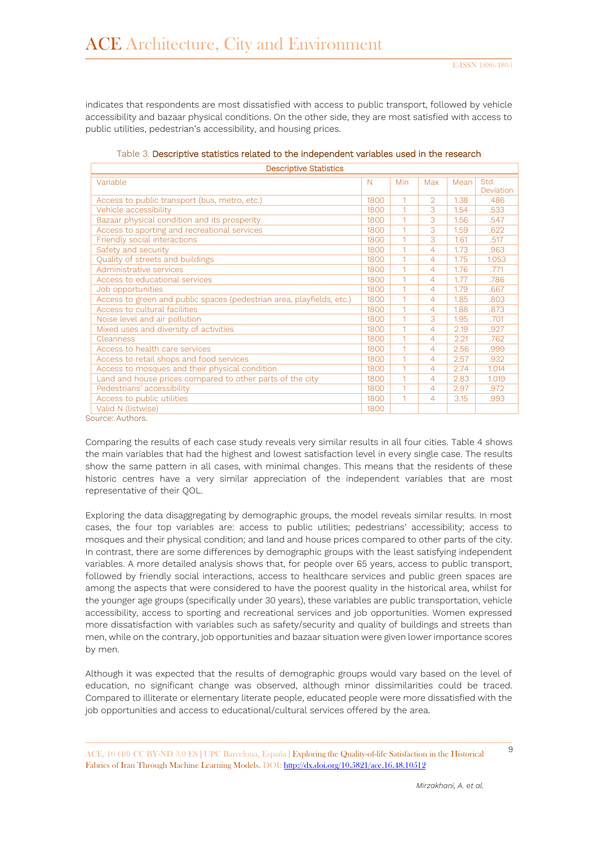indicates that respondents are most dissatisfied with access to public transport, followed by vehicle accessibility and bazaar physical conditions. On the other side, they are most satisfied with access to public utilities, pedestrian's accessibility, and housing prices.

| Variable                                                              |             |            |                |      |                   |
|-----------------------------------------------------------------------|-------------|------------|----------------|------|-------------------|
|                                                                       | $\mathbb N$ | <b>Min</b> | Max            | Mean | Std.<br>Deviation |
| Access to public transport (bus, metro, etc.)                         | 1800        | 1          | $\mathcal{D}$  | 1.38 | .486              |
| Vehicle accessibility                                                 | 1800        | 1          | 3              | 1.54 | .533              |
| Bazaar physical condition and its prosperity                          | 1800        | 1          | 3              | 1.56 | .547              |
| Access to sporting and recreational services                          | 1800        |            | 3              | 1.59 | .622              |
| Friendly social interactions                                          | 1800        |            | 3              | 1.61 | .517              |
| Safety and security                                                   | 1800        | 1          | $\overline{4}$ | 1.73 | .963              |
| Quality of streets and buildings                                      | 1800        |            | $\overline{4}$ | 1.75 | 1.053             |
| Administrative services                                               | 1800        | 1          | $\overline{4}$ | 1.76 | .771              |
| Access to educational services                                        | 1800        |            | $\overline{4}$ | 1.77 | .786              |
| Job opportunities                                                     | 1800        | 1          | $\overline{4}$ | 1.79 | .667              |
| Access to green and public spaces (pedestrian area, playfields, etc.) | 1800        |            | $\overline{4}$ | 1.85 | .803              |
| Access to cultural facilities                                         | 1800        |            | $\overline{4}$ | 1.88 | .873              |
| Noise level and air pollution                                         | 1800        |            | 3              | 1.95 | .701              |
| Mixed uses and diversity of activities                                | 1800        | 1          | $\overline{4}$ | 2.19 | .927              |
| Cleanness                                                             | 1800        |            | $\overline{4}$ | 2.21 | .762              |
| Access to health care services                                        | 1800        | 1          | $\overline{4}$ | 2.56 | .999              |
| Access to retail shops and food services                              | 1800        |            | $\overline{4}$ | 2.57 | .932              |
| Access to mosques and their physical condition                        | 1800        | 1          | $\overline{4}$ | 2.74 | 1.014             |
| Land and house prices compared to other parts of the city             |             |            | $\overline{4}$ | 2.83 | 1.019             |
| Pedestrians' accessibility                                            | 1800        | 1          | $\overline{4}$ | 2.97 | .972              |
| Access to public utilities                                            | 1800        |            | $\overline{4}$ | 3.15 | .993              |
| Valid N (listwise)                                                    | 1800        |            |                |      |                   |

| Table 3. Descriptive statistics related to the independent variables used in the research |  |
|-------------------------------------------------------------------------------------------|--|
| Decerintive Statistics                                                                    |  |

Source: Authors.

Comparing the results of each case study reveals very similar results in all four cities. Table 4 shows the main variables that had the highest and lowest satisfaction level in every single case. The results show the same pattern in all cases, with minimal changes. This means that the residents of these historic centres have a very similar appreciation of the independent variables that are most representative of their QOL.

Exploring the data disaggregating by demographic groups, the model reveals similar results. In most cases, the four top variables are: access to public utilities; pedestrians' accessibility; access to mosques and their physical condition; and land and house prices compared to other parts of the city. In contrast, there are some differences by demographic groups with the least satisfying independent variables. A more detailed analysis shows that, for people over 65 years, access to public transport, followed by friendly social interactions, access to healthcare services and public green spaces are among the aspects that were considered to have the poorest quality in the historical area, whilst for the younger age groups (specifically under 30 years), these variables are public transportation, vehicle accessibility, access to sporting and recreational services and job opportunities. Women expressed more dissatisfaction with variables such as safety/security and quality of buildings and streets than men, while on the contrary, job opportunities and bazaar situation were given lower importance scores by men.

Although it was expected that the results of demographic groups would vary based on the level of education, no significant change was observed, although minor dissimilarities could be traced. Compared to illiterate or elementary literate people, educated people were more dissatisfied with the job opportunities and access to educational/cultural services offered by the area.

<sup>9</sup> ACE, 16 (48) CC BY-ND 3.0 ES **<sup>|</sup>**UPC Barcelona, España **<sup>|</sup>** Exploring the Quality-of-life Satisfaction in the Historical Fabrics of Iran Through Machine Learning Models. DOI[: http://dx.doi.org/10.5821/ace.16.48.10512](http://dx.doi.org/10.5821/ace.16.48.10512)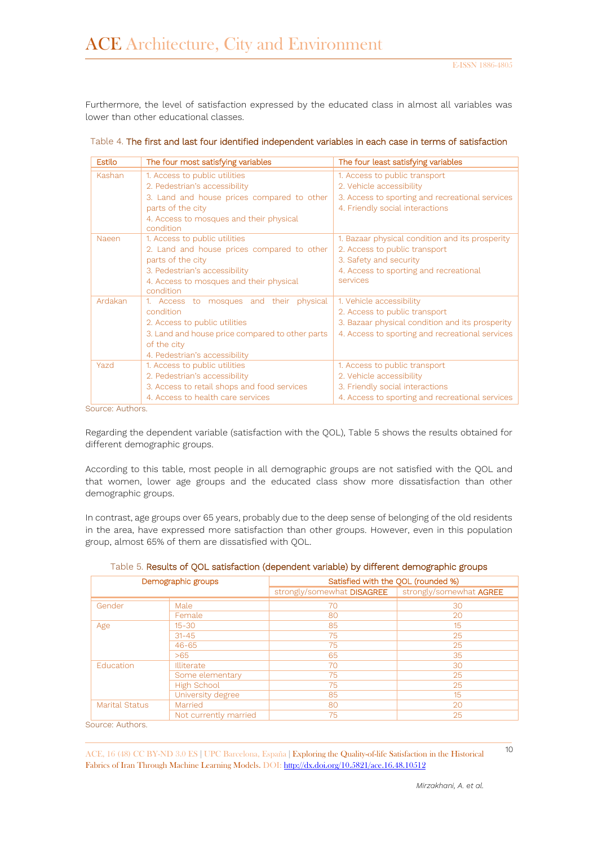Furthermore, the level of satisfaction expressed by the educated class in almost all variables was lower than other educational classes.

| <b>Estilo</b> | The four most satisfying variables                   | The four least satisfying variables             |
|---------------|------------------------------------------------------|-------------------------------------------------|
| Kashan        | 1. Access to public utilities                        | 1. Access to public transport                   |
|               | 2. Pedestrian's accessibility                        | 2. Vehicle accessibility                        |
|               | 3. Land and house prices compared to other           | 3. Access to sporting and recreational services |
|               | parts of the city                                    | 4. Friendly social interactions                 |
|               | 4. Access to mosques and their physical<br>condition |                                                 |
| Naeen         | 1. Access to public utilities                        | 1. Bazaar physical condition and its prosperity |
|               | 2. Land and house prices compared to other           | 2. Access to public transport                   |
|               | parts of the city                                    | 3. Safety and security                          |
|               | 3. Pedestrian's accessibility                        | 4. Access to sporting and recreational          |
|               | 4. Access to mosques and their physical              | services                                        |
|               | condition                                            |                                                 |
| Ardakan       | 1. Access to mosques and their physical              | 1. Vehicle accessibility                        |
|               | condition                                            | 2. Access to public transport                   |
|               | 2. Access to public utilities                        | 3. Bazaar physical condition and its prosperity |
|               | 3. Land and house price compared to other parts      | 4. Access to sporting and recreational services |
|               | of the city                                          |                                                 |
|               | 4. Pedestrian's accessibility                        |                                                 |
| Yazd          | 1. Access to public utilities                        | 1. Access to public transport                   |
|               | 2. Pedestrian's accessibility                        | 2. Vehicle accessibility                        |
|               | 3. Access to retail shops and food services          | 3. Friendly social interactions                 |
|               | 4. Access to health care services                    | 4. Access to sporting and recreational services |

| Table 4. The first and last four identified independent variables in each case in terms of satisfaction |
|---------------------------------------------------------------------------------------------------------|
|---------------------------------------------------------------------------------------------------------|

Source: Authors.

Regarding the dependent variable (satisfaction with the QOL), Table 5 shows the results obtained for different demographic groups.

According to this table, most people in all demographic groups are not satisfied with the QOL and that women, lower age groups and the educated class show more dissatisfaction than other demographic groups.

In contrast, age groups over 65 years, probably due to the deep sense of belonging of the old residents in the area, have expressed more satisfaction than other groups. However, even in this population group, almost 65% of them are dissatisfied with QOL.

|  |  | Table 5. Results of QOL satisfaction (dependent variable) by different demographic groups |
|--|--|-------------------------------------------------------------------------------------------|
|  |  |                                                                                           |

| Demographic groups    |                       | Satisfied with the QOL (rounded %) |                         |  |
|-----------------------|-----------------------|------------------------------------|-------------------------|--|
|                       |                       | strongly/somewhat DISAGREE         | strongly/somewhat AGREE |  |
| Gender                | Male                  | 70                                 | 30                      |  |
|                       | Female                | 80                                 | 20                      |  |
| Age                   | $15 - 30$             | 85                                 | 15                      |  |
|                       | $31 - 45$             | 75                                 | 25                      |  |
|                       | $46 - 65$             | 75                                 | 25                      |  |
|                       | >65                   | 65                                 | 35                      |  |
| Education             | <b>Illiterate</b>     | 70                                 | 30                      |  |
|                       | Some elementary       | 75                                 | 25                      |  |
|                       | <b>High School</b>    | 75                                 | 25                      |  |
|                       | University degree     | 85                                 | 15                      |  |
| <b>Marital Status</b> | Married               | 80                                 | 20                      |  |
|                       | Not currently married | 75                                 | 25                      |  |

Source: Authors.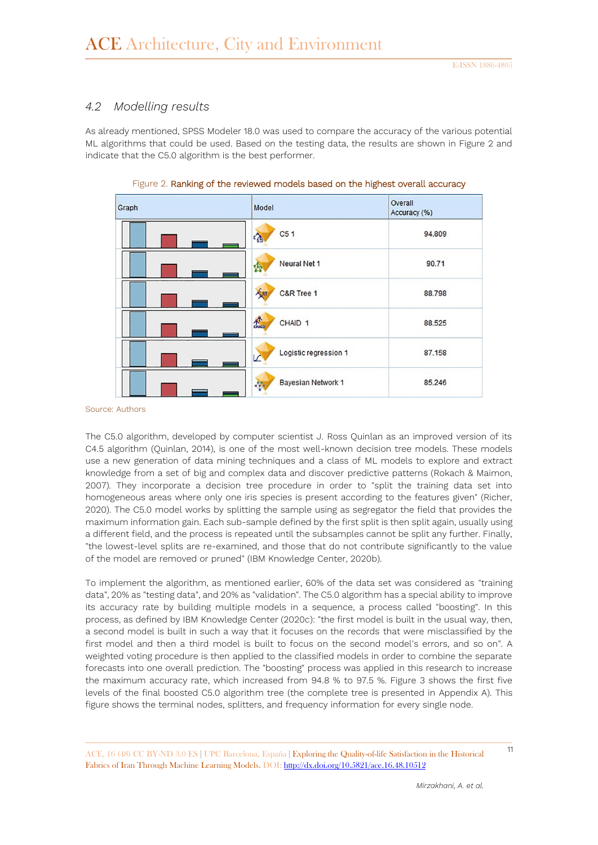### *4.2 Modelling results*

As already mentioned, SPSS Modeler 18.0 was used to compare the accuracy of the various potential ML algorithms that could be used. Based on the testing data, the results are shown in Figure 2 and indicate that the C5.0 algorithm is the best performer.

| Graph | Model                               | Overall<br>Accuracy (%) |
|-------|-------------------------------------|-------------------------|
|       | C <sub>5</sub> 1<br>$c_{\rm SB}$    | 94.809                  |
|       | Neural Net 1<br>齿                   | 90.71                   |
|       | ART<br>C&R Tree 1                   | 88.798                  |
|       | $\frac{1}{2}$<br>CHAID <sub>1</sub> | 88.525                  |
|       | Logistic regression 1<br>v          | 87.158                  |
|       | Bayesian Network 1<br>$\mathbf{v}$  | 85.246                  |

Figure 2. Ranking of the reviewed models based on the highest overall accuracy

Source: Authors

The C5.0 algorithm, developed by computer scientist J. Ross Quinlan as an improved version of its C4.5 algorithm (Quinlan, 2014), is one of the most well-known decision tree models. These models use a new generation of data mining techniques and a class of ML models to explore and extract knowledge from a set of big and complex data and discover predictive patterns (Rokach & Maimon, 2007). They incorporate a decision tree procedure in order to "split the training data set into homogeneous areas where only one iris species is present according to the features given" (Richer, 2020). The C5.0 model works by splitting the sample using as segregator the field that provides the maximum information gain. Each sub-sample defined by the first split is then split again, usually using a different field, and the process is repeated until the subsamples cannot be split any further. Finally, "the lowest-level splits are re-examined, and those that do not contribute significantly to the value of the model are removed or pruned" (IBM Knowledge Center, 2020b).

To implement the algorithm, as mentioned earlier, 60% of the data set was considered as "training data", 20% as "testing data", and 20% as "validation". The C5.0 algorithm has a special ability to improve its accuracy rate by building multiple models in a sequence, a process called "boosting". In this process, as defined by IBM Knowledge Center (2020c): "the first model is built in the usual way, then, a second model is built in such a way that it focuses on the records that were misclassified by the first model and then a third model is built to focus on the second model's errors, and so on". A weighted voting procedure is then applied to the classified models in order to combine the separate forecasts into one overall prediction. The "boosting" process was applied in this research to increase the maximum accuracy rate, which increased from 94.8 % to 97.5 %. Figure 3 shows the first five levels of the final boosted C5.0 algorithm tree (the complete tree is presented in Appendix A). This figure shows the terminal nodes, splitters, and frequency information for every single node.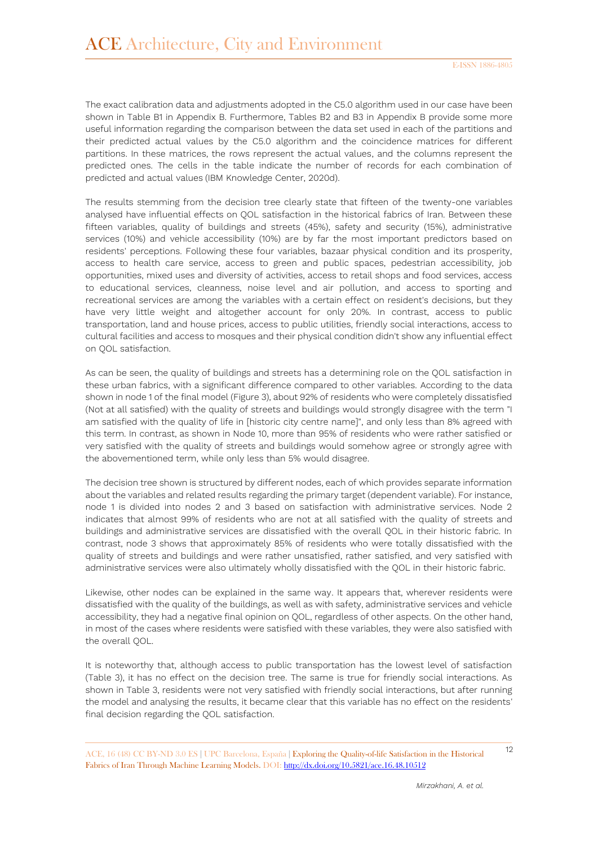The exact calibration data and adjustments adopted in the C5.0 algorithm used in our case have been shown in Table B1 in Appendix B. Furthermore, Tables B2 and B3 in Appendix B provide some more useful information regarding the comparison between the data set used in each of the partitions and their predicted actual values by the C5.0 algorithm and the coincidence matrices for different partitions. In these matrices, the rows represent the actual values, and the columns represent the predicted ones. The cells in the table indicate the number of records for each combination of predicted and actual values (IBM Knowledge Center, 2020d).

The results stemming from the decision tree clearly state that fifteen of the twenty-one variables analysed have influential effects on QOL satisfaction in the historical fabrics of Iran. Between these fifteen variables, quality of buildings and streets (45%), safety and security (15%), administrative services (10%) and vehicle accessibility (10%) are by far the most important predictors based on residents' perceptions. Following these four variables, bazaar physical condition and its prosperity, access to health care service, access to green and public spaces, pedestrian accessibility, job opportunities, mixed uses and diversity of activities, access to retail shops and food services, access to educational services, cleanness, noise level and air pollution, and access to sporting and recreational services are among the variables with a certain effect on resident's decisions, but they have very little weight and altogether account for only 20%. In contrast, access to public transportation, land and house prices, access to public utilities, friendly social interactions, access to cultural facilities and access to mosques and their physical condition didn't show any influential effect on QOL satisfaction.

As can be seen, the quality of buildings and streets has a determining role on the QOL satisfaction in these urban fabrics, with a significant difference compared to other variables. According to the data shown in node 1 of the final model (Figure 3), about 92% of residents who were completely dissatisfied (Not at all satisfied) with the quality of streets and buildings would strongly disagree with the term "I am satisfied with the quality of life in [historic city centre name]", and only less than 8% agreed with this term. In contrast, as shown in Node 10, more than 95% of residents who were rather satisfied or very satisfied with the quality of streets and buildings would somehow agree or strongly agree with the abovementioned term, while only less than 5% would disagree.

The decision tree shown is structured by different nodes, each of which provides separate information about the variables and related results regarding the primary target (dependent variable). For instance, node 1 is divided into nodes 2 and 3 based on satisfaction with administrative services. Node 2 indicates that almost 99% of residents who are not at all satisfied with the quality of streets and buildings and administrative services are dissatisfied with the overall QOL in their historic fabric. In contrast, node 3 shows that approximately 85% of residents who were totally dissatisfied with the quality of streets and buildings and were rather unsatisfied, rather satisfied, and very satisfied with administrative services were also ultimately wholly dissatisfied with the QOL in their historic fabric.

Likewise, other nodes can be explained in the same way. It appears that, wherever residents were dissatisfied with the quality of the buildings, as well as with safety, administrative services and vehicle accessibility, they had a negative final opinion on QOL, regardless of other aspects. On the other hand, in most of the cases where residents were satisfied with these variables, they were also satisfied with the overall QOL.

It is noteworthy that, although access to public transportation has the lowest level of satisfaction (Table 3), it has no effect on the decision tree. The same is true for friendly social interactions. As shown in Table 3, residents were not very satisfied with friendly social interactions, but after running the model and analysing the results, it became clear that this variable has no effect on the residents' final decision regarding the QOL satisfaction.

<sup>12</sup> ACE, 16 (48) CC BY-ND 3.0 ES **<sup>|</sup>**UPC Barcelona, España **<sup>|</sup>** Exploring the Quality-of-life Satisfaction in the Historical Fabrics of Iran Through Machine Learning Models. DOI[: http://dx.doi.org/10.5821/ace.16.48.10512](http://dx.doi.org/10.5821/ace.16.48.10512)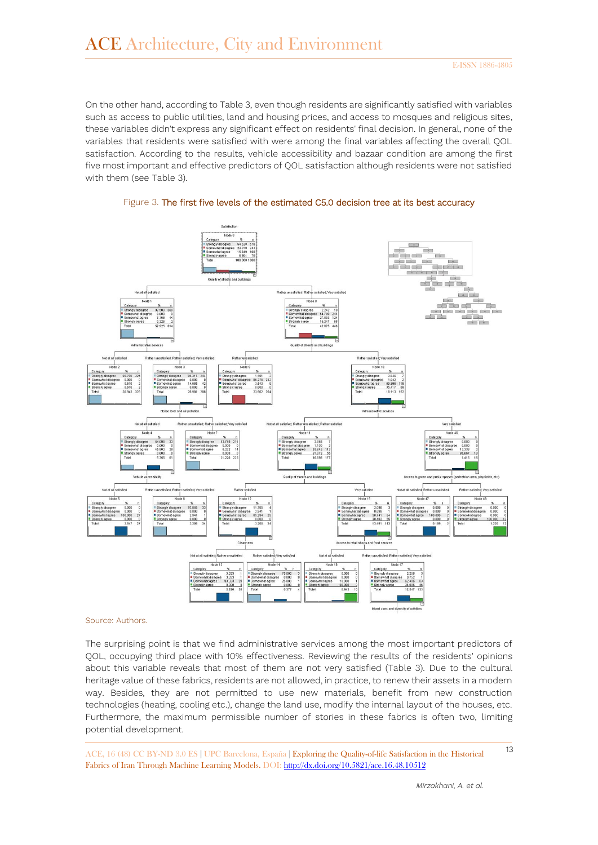On the other hand, according to Table 3, even though residents are significantly satisfied with variables such as access to public utilities, land and housing prices, and access to mosques and religious sites, these variables didn't express any significant effect on residents' final decision. In general, none of the variables that residents were satisfied with were among the final variables affecting the overall QOL satisfaction. According to the results, vehicle accessibility and bazaar condition are among the first five most important and effective predictors of QOL satisfaction although residents were not satisfied with them (see Table 3).





#### Source: Authors.

The surprising point is that we find administrative services among the most important predictors of QOL, occupying third place with 10% effectiveness. Reviewing the results of the residents' opinions about this variable reveals that most of them are not very satisfied (Table 3). Due to the cultural heritage value of these fabrics, residents are not allowed, in practice, to renew their assets in a modern way. Besides, they are not permitted to use new materials, benefit from new construction technologies (heating, cooling etc.), change the land use, modify the internal layout of the houses, etc. Furthermore, the maximum permissible number of stories in these fabrics is often two, limiting potential development.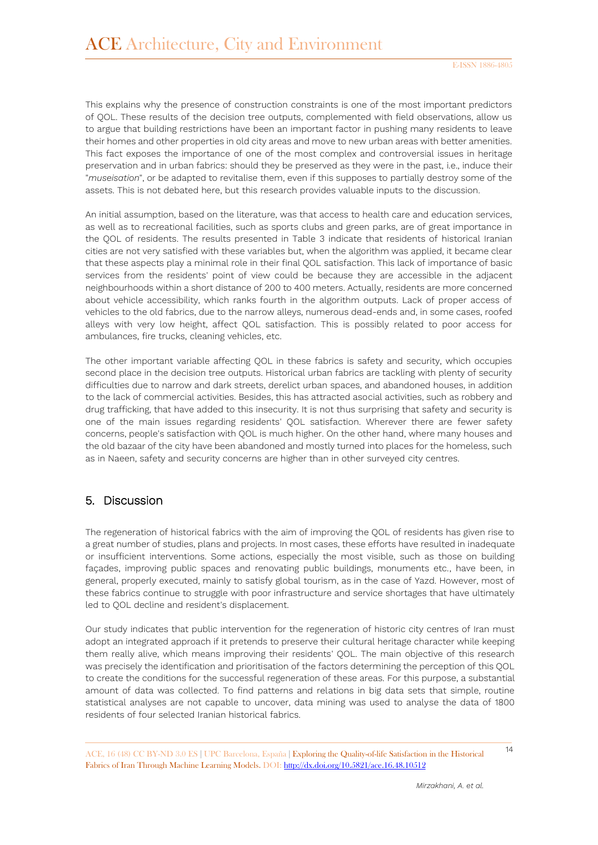This explains why the presence of construction constraints is one of the most important predictors of QOL. These results of the decision tree outputs, complemented with field observations, allow us to argue that building restrictions have been an important factor in pushing many residents to leave their homes and other properties in old city areas and move to new urban areas with better amenities. This fact exposes the importance of one of the most complex and controversial issues in heritage preservation and in urban fabrics: should they be preserved as they were in the past, i.e., induce their "*museisation*", or be adapted to revitalise them, even if this supposes to partially destroy some of the assets. This is not debated here, but this research provides valuable inputs to the discussion.

An initial assumption, based on the literature, was that access to health care and education services, as well as to recreational facilities, such as sports clubs and green parks, are of great importance in the QOL of residents. The results presented in Table 3 indicate that residents of historical Iranian cities are not very satisfied with these variables but, when the algorithm was applied, it became clear that these aspects play a minimal role in their final QOL satisfaction. This lack of importance of basic services from the residents' point of view could be because they are accessible in the adjacent neighbourhoods within a short distance of 200 to 400 meters. Actually, residents are more concerned about vehicle accessibility, which ranks fourth in the algorithm outputs. Lack of proper access of vehicles to the old fabrics, due to the narrow alleys, numerous dead-ends and, in some cases, roofed alleys with very low height, affect QOL satisfaction. This is possibly related to poor access for ambulances, fire trucks, cleaning vehicles, etc.

The other important variable affecting QOL in these fabrics is safety and security, which occupies second place in the decision tree outputs. Historical urban fabrics are tackling with plenty of security difficulties due to narrow and dark streets, derelict urban spaces, and abandoned houses, in addition to the lack of commercial activities. Besides, this has attracted asocial activities, such as robbery and drug trafficking, that have added to this insecurity. It is not thus surprising that safety and security is one of the main issues regarding residents' QOL satisfaction. Wherever there are fewer safety concerns, people's satisfaction with QOL is much higher. On the other hand, where many houses and the old bazaar of the city have been abandoned and mostly turned into places for the homeless, such as in Naeen, safety and security concerns are higher than in other surveyed city centres.

### 5. Discussion

The regeneration of historical fabrics with the aim of improving the QOL of residents has given rise to a great number of studies, plans and projects. In most cases, these efforts have resulted in inadequate or insufficient interventions. Some actions, especially the most visible, such as those on building façades, improving public spaces and renovating public buildings, monuments etc., have been, in general, properly executed, mainly to satisfy global tourism, as in the case of Yazd. However, most of these fabrics continue to struggle with poor infrastructure and service shortages that have ultimately led to QOL decline and resident's displacement.

Our study indicates that public intervention for the regeneration of historic city centres of Iran must adopt an integrated approach if it pretends to preserve their cultural heritage character while keeping them really alive, which means improving their residents' QOL. The main objective of this research was precisely the identification and prioritisation of the factors determining the perception of this QOL to create the conditions for the successful regeneration of these areas. For this purpose, a substantial amount of data was collected. To find patterns and relations in big data sets that simple, routine statistical analyses are not capable to uncover, data mining was used to analyse the data of 1800 residents of four selected Iranian historical fabrics.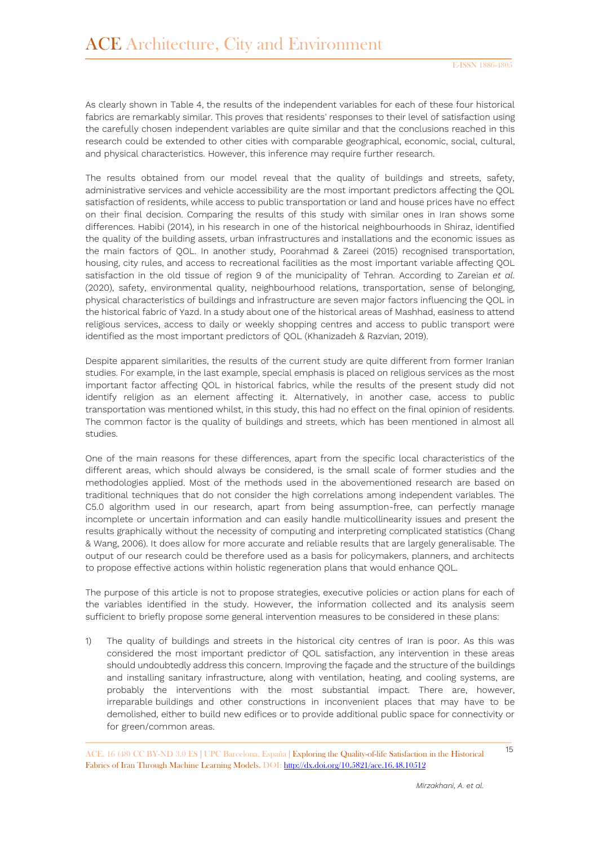As clearly shown in Table 4, the results of the independent variables for each of these four historical fabrics are remarkably similar. This proves that residents' responses to their level of satisfaction using the carefully chosen independent variables are quite similar and that the conclusions reached in this research could be extended to other cities with comparable geographical, economic, social, cultural, and physical characteristics. However, this inference may require further research.

The results obtained from our model reveal that the quality of buildings and streets, safety, administrative services and vehicle accessibility are the most important predictors affecting the QOL satisfaction of residents, while access to public transportation or land and house prices have no effect on their final decision. Comparing the results of this study with similar ones in Iran shows some differences. Habibi (2014), in his research in one of the historical neighbourhoods in Shiraz, identified the quality of the building assets, urban infrastructures and installations and the economic issues as the main factors of QOL. In another study, Poorahmad & Zareei (2015) recognised transportation, housing, city rules, and access to recreational facilities as the most important variable affecting QOL satisfaction in the old tissue of region 9 of the municipality of Tehran. According to Zareian *et al*. (2020), safety, environmental quality, neighbourhood relations, transportation, sense of belonging, physical characteristics of buildings and infrastructure are seven major factors influencing the QOL in the historical fabric of Yazd. In a study about one of the historical areas of Mashhad, easiness to attend religious services, access to daily or weekly shopping centres and access to public transport were identified as the most important predictors of QOL (Khanizadeh & Razvian, 2019).

Despite apparent similarities, the results of the current study are quite different from former Iranian studies. For example, in the last example, special emphasis is placed on religious services as the most important factor affecting QOL in historical fabrics, while the results of the present study did not identify religion as an element affecting it. Alternatively, in another case, access to public transportation was mentioned whilst, in this study, this had no effect on the final opinion of residents. The common factor is the quality of buildings and streets, which has been mentioned in almost all studies.

One of the main reasons for these differences, apart from the specific local characteristics of the different areas, which should always be considered, is the small scale of former studies and the methodologies applied. Most of the methods used in the abovementioned research are based on traditional techniques that do not consider the high correlations among independent variables. The C5.0 algorithm used in our research, apart from being assumption-free, can perfectly manage incomplete or uncertain information and can easily handle multicollinearity issues and present the results graphically without the necessity of computing and interpreting complicated statistics (Chang & Wang, 2006). It does allow for more accurate and reliable results that are largely generalisable. The output of our research could be therefore used as a basis for policymakers, planners, and architects to propose effective actions within holistic regeneration plans that would enhance QOL.

The purpose of this article is not to propose strategies, executive policies or action plans for each of the variables identified in the study. However, the information collected and its analysis seem sufficient to briefly propose some general intervention measures to be considered in these plans:

1) The quality of buildings and streets in the historical city centres of Iran is poor. As this was considered the most important predictor of QOL satisfaction, any intervention in these areas should undoubtedly address this concern. Improving the façade and the structure of the buildings and installing sanitary infrastructure, along with ventilation, heating, and cooling systems, are probably the interventions with the most substantial impact. There are, however, irreparable buildings and other constructions in inconvenient places that may have to be demolished, either to build new edifices or to provide additional public space for connectivity or for green/common areas.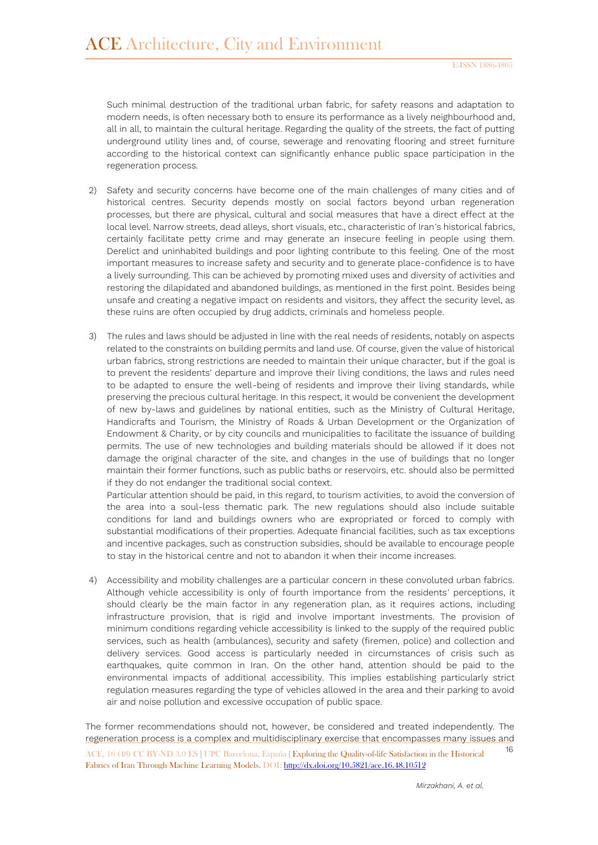Such minimal destruction of the traditional urban fabric, for safety reasons and adaptation to modern needs, is often necessary both to ensure its performance as a lively neighbourhood and, all in all, to maintain the cultural heritage. Regarding the quality of the streets, the fact of putting underground utility lines and, of course, sewerage and renovating flooring and street furniture according to the historical context can significantly enhance public space participation in the regeneration process.

- 2) Safety and security concerns have become one of the main challenges of many cities and of historical centres. Security depends mostly on social factors beyond urban regeneration processes, but there are physical, cultural and social measures that have a direct effect at the local level. Narrow streets, dead alleys, short visuals, etc., characteristic of Iran's historical fabrics, certainly facilitate petty crime and may generate an insecure feeling in people using them. Derelict and uninhabited buildings and poor lighting contribute to this feeling. One of the most important measures to increase safety and security and to generate place-confidence is to have a lively surrounding. This can be achieved by promoting mixed uses and diversity of activities and restoring the dilapidated and abandoned buildings, as mentioned in the first point. Besides being unsafe and creating a negative impact on residents and visitors, they affect the security level, as these ruins are often occupied by drug addicts, criminals and homeless people.
- 3) The rules and laws should be adjusted in line with the real needs of residents, notably on aspects related to the constraints on building permits and land use. Of course, given the value of historical urban fabrics, strong restrictions are needed to maintain their unique character, but if the goal is to prevent the residents' departure and improve their living conditions, the laws and rules need to be adapted to ensure the well-being of residents and improve their living standards, while preserving the precious cultural heritage. In this respect, it would be convenient the development of new by-laws and guidelines by national entities, such as the Ministry of Cultural Heritage, Handicrafts and Tourism, the Ministry of Roads & Urban Development or the Organization of Endowment & Charity, or by city councils and municipalities to facilitate the issuance of building permits. The use of new technologies and building materials should be allowed if it does not damage the original character of the site, and changes in the use of buildings that no longer maintain their former functions, such as public baths or reservoirs, etc. should also be permitted if they do not endanger the traditional social context.

Particular attention should be paid, in this regard, to tourism activities, to avoid the conversion of the area into a soul-less thematic park. The new regulations should also include suitable conditions for land and buildings owners who are expropriated or forced to comply with substantial modifications of their properties. Adequate financial facilities, such as tax exceptions and incentive packages, such as construction subsidies, should be available to encourage people to stay in the historical centre and not to abandon it when their income increases.

4) Accessibility and mobility challenges are a particular concern in these convoluted urban fabrics. Although vehicle accessibility is only of fourth importance from the residents' perceptions, it should clearly be the main factor in any regeneration plan, as it requires actions, including infrastructure provision, that is rigid and involve important investments. The provision of minimum conditions regarding vehicle accessibility is linked to the supply of the required public services, such as health (ambulances), security and safety (firemen, police) and collection and delivery services. Good access is particularly needed in circumstances of crisis such as earthquakes, quite common in Iran. On the other hand, attention should be paid to the environmental impacts of additional accessibility. This implies establishing particularly strict regulation measures regarding the type of vehicles allowed in the area and their parking to avoid air and noise pollution and excessive occupation of public space.

<sup>16</sup> ACE, 16 (48) CC BY-ND 3.0 ES **<sup>|</sup>**UPC Barcelona, España **<sup>|</sup>** Exploring the Quality-of-life Satisfaction in the Historical Fabrics of Iran Through Machine Learning Models. DOI[: http://dx.doi.org/10.5821/ace.16.48.10512](http://dx.doi.org/10.5821/ace.16.48.10512) The former recommendations should not, however, be considered and treated independently. The regeneration process is a complex and multidisciplinary exercise that encompasses many issues and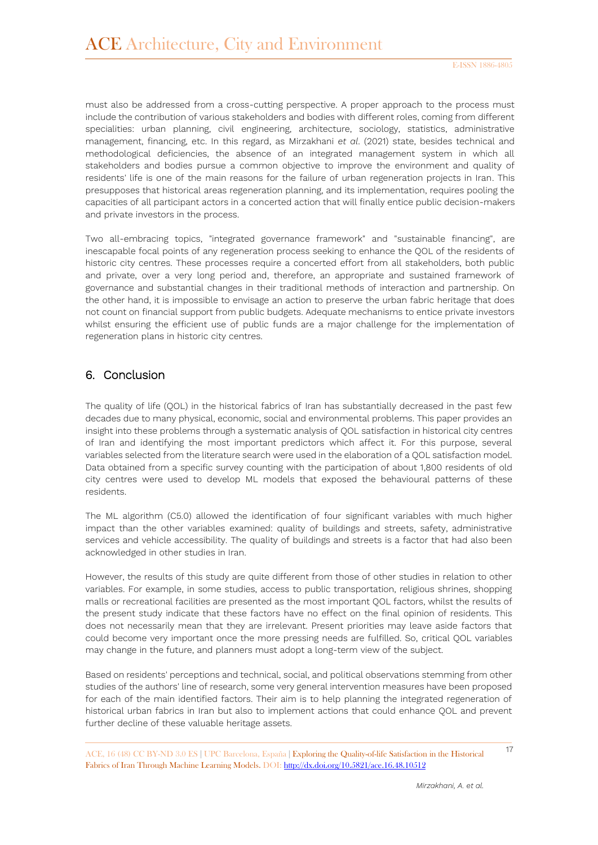must also be addressed from a cross-cutting perspective. A proper approach to the process must include the contribution of various stakeholders and bodies with different roles, coming from different specialities: urban planning, civil engineering, architecture, sociology, statistics, administrative management, financing, etc. In this regard, as Mirzakhani *et al*. (2021) state, besides technical and methodological deficiencies, the absence of an integrated management system in which all stakeholders and bodies pursue a common objective to improve the environment and quality of residents' life is one of the main reasons for the failure of urban regeneration projects in Iran. This presupposes that historical areas regeneration planning, and its implementation, requires pooling the capacities of all participant actors in a concerted action that will finally entice public decision-makers and private investors in the process.

Two all-embracing topics, "integrated governance framework" and "sustainable financing", are inescapable focal points of any regeneration process seeking to enhance the QOL of the residents of historic city centres. These processes require a concerted effort from all stakeholders, both public and private, over a very long period and, therefore, an appropriate and sustained framework of governance and substantial changes in their traditional methods of interaction and partnership. On the other hand, it is impossible to envisage an action to preserve the urban fabric heritage that does not count on financial support from public budgets. Adequate mechanisms to entice private investors whilst ensuring the efficient use of public funds are a major challenge for the implementation of regeneration plans in historic city centres.

#### 6. Conclusion

The quality of life (QOL) in the historical fabrics of Iran has substantially decreased in the past few decades due to many physical, economic, social and environmental problems. This paper provides an insight into these problems through a systematic analysis of QOL satisfaction in historical city centres of Iran and identifying the most important predictors which affect it. For this purpose, several variables selected from the literature search were used in the elaboration of a QOL satisfaction model. Data obtained from a specific survey counting with the participation of about 1,800 residents of old city centres were used to develop ML models that exposed the behavioural patterns of these residents.

The ML algorithm (C5.0) allowed the identification of four significant variables with much higher impact than the other variables examined: quality of buildings and streets, safety, administrative services and vehicle accessibility. The quality of buildings and streets is a factor that had also been acknowledged in other studies in Iran.

However, the results of this study are quite different from those of other studies in relation to other variables. For example, in some studies, access to public transportation, religious shrines, shopping malls or recreational facilities are presented as the most important QOL factors, whilst the results of the present study indicate that these factors have no effect on the final opinion of residents. This does not necessarily mean that they are irrelevant. Present priorities may leave aside factors that could become very important once the more pressing needs are fulfilled. So, critical QOL variables may change in the future, and planners must adopt a long-term view of the subject.

Based on residents' perceptions and technical, social, and political observations stemming from other studies of the authors' line of research, some very general intervention measures have been proposed for each of the main identified factors. Their aim is to help planning the integrated regeneration of historical urban fabrics in Iran but also to implement actions that could enhance QOL and prevent further decline of these valuable heritage assets.

<sup>17</sup> ACE, 16 (48) CC BY-ND 3.0 ES **<sup>|</sup>**UPC Barcelona, España **<sup>|</sup>** Exploring the Quality-of-life Satisfaction in the Historical Fabrics of Iran Through Machine Learning Models. DOI[: http://dx.doi.org/10.5821/ace.16.48.10512](http://dx.doi.org/10.5821/ace.16.48.10512)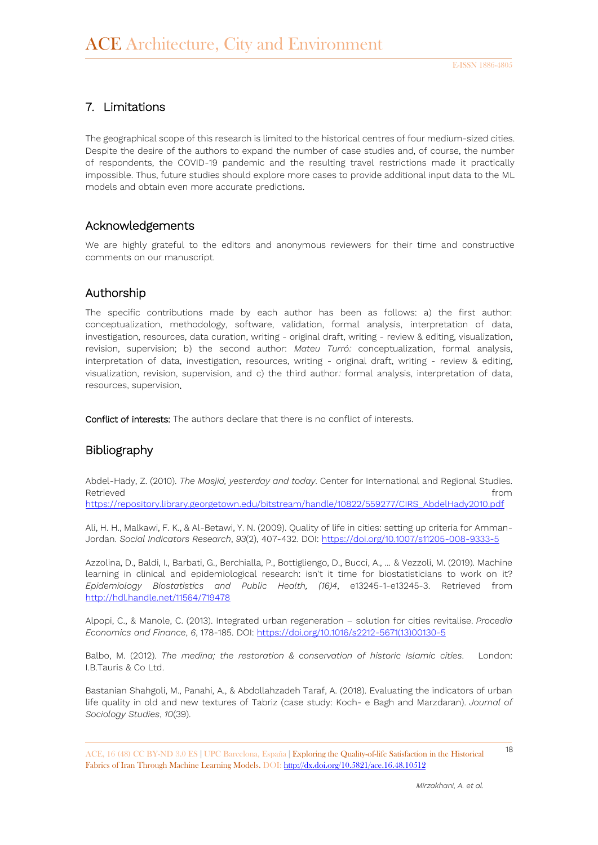### 7. Limitations

The geographical scope of this research is limited to the historical centres of four medium-sized cities. Despite the desire of the authors to expand the number of case studies and, of course, the number of respondents, the COVID-19 pandemic and the resulting travel restrictions made it practically impossible. Thus, future studies should explore more cases to provide additional input data to the ML models and obtain even more accurate predictions.

#### Acknowledgements

We are highly grateful to the editors and anonymous reviewers for their time and constructive comments on our manuscript.

#### Authorship

The specific contributions made by each author has been as follows: a) the first author: conceptualization, methodology, software, validation, formal analysis, interpretation of data, investigation, resources, data curation, writing - original draft, writing - review & editing, visualization, revision, supervision; b) the second author: *Mateu Turró:* conceptualization, formal analysis, interpretation of data, investigation, resources, writing - original draft, writing - review & editing, visualization, revision, supervision, and c) the third author*:* formal analysis, interpretation of data, resources, supervision.

Conflict of interests: The authors declare that there is no conflict of interests.

#### Bibliography

Abdel-Hady, Z. (2010). *The Masjid, yesterday and today*. Center for International and Regional Studies. Retrieved **from the contract of the contract of the contract of the contract of the contract of the contract of the contract of the contract of the contract of the contract of the contract of the contract of the contract o** 

[https://repository.library.georgetown.edu/bitstream/handle/10822/559277/CIRS\\_AbdelHady2010.pdf](https://repository.library.georgetown.edu/bitstream/handle/10822/559277/CIRSBrief2AbdelHady2010.pdf?sequence=5&isAllowed=y)

Ali, H. H., Malkawi, F. K., & Al-Betawi, Y. N. (2009). Quality of life in cities: setting up criteria for Amman-Jordan. *Social Indicators Research*, *93*(2), 407-432. DOI:<https://doi.org/10.1007/s11205-008-9333-5>

Azzolina, D., Baldi, I., Barbati, G., Berchialla, P., Bottigliengo, D., Bucci, A., ... & Vezzoli, M. (2019). Machine learning in clinical and epidemiological research: isn't it time for biostatisticians to work on it? *Epidemiology Biostatistics and Public Health, (16)4*, e13245-1-e13245-3. Retrieved from <http://hdl.handle.net/11564/719478>

Alpopi, C., & Manole, C. (2013). Integrated urban regeneration – solution for cities revitalise. *Procedia Economics and Finance*, *6*, 178-185. DOI[: https://doi.org/10.1016/s2212-5671\(13\)00130-5](https://doi.org/10.1016/s2212-5671(13)00130-5)

Balbo, M. (2012). *The medina; the restoration & conservation of historic Islamic cities*. London: I.B.Tauris & Co Ltd.

Bastanian Shahgoli, M., Panahi, A., & Abdollahzadeh Taraf, A. (2018). Evaluating the indicators of urban life quality in old and new textures of Tabriz (case study: Koch- e Bagh and Marzdaran). *Journal of Sociology Studies*, *10*(39).

<sup>18</sup> ACE, 16 (48) CC BY-ND 3.0 ES **<sup>|</sup>**UPC Barcelona, España **<sup>|</sup>** Exploring the Quality-of-life Satisfaction in the Historical Fabrics of Iran Through Machine Learning Models. DOI[: http://dx.doi.org/10.5821/ace.16.48.10512](http://dx.doi.org/10.5821/ace.16.48.10512)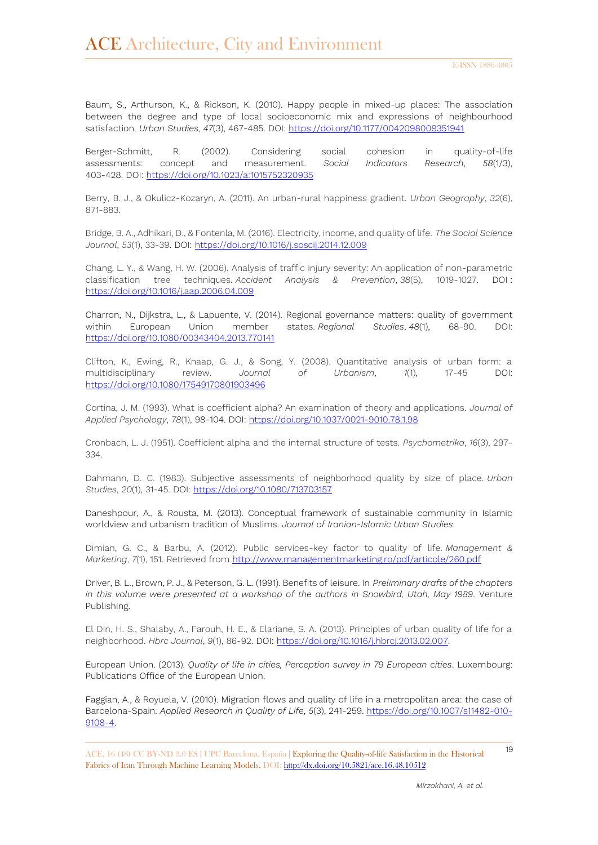Baum, S., Arthurson, K., & Rickson, K. (2010). Happy people in mixed-up places: The association between the degree and type of local socioeconomic mix and expressions of neighbourhood satisfaction. *Urban Studies*, *47*(3), 467-485. DOI:<https://doi.org/10.1177/0042098009351941>

Berger-Schmitt, R. (2002). Considering social cohesion in quality-of-life assessments: concept and measurement. *Social Indicators Research*, *58*(1/3), 403-428. DOI:<https://doi.org/10.1023/a:1015752320935>

Berry, B. J., & Okulicz-Kozaryn, A. (2011). An urban-rural happiness gradient. *Urban Geography*, *32*(6), 871-883.

Bridge, B. A., Adhikari, D., & Fontenla, M. (2016). Electricity, income, and quality of life. *The Social Science Journal*, *53*(1), 33-39. DOI:<https://doi.org/10.1016/j.soscij.2014.12.009>

Chang, L. Y., & Wang, H. W. (2006). Analysis of traffic injury severity: An application of non-parametric classification tree techniques. *Accident Analysis & Prevention*, *38*(5), 1019-1027. DOI : <https://doi.org/10.1016/j.aap.2006.04.009>

Charron, N., Dijkstra, L., & Lapuente, V. (2014). Regional governance matters: quality of government within European Union member states. *Regional Studies*, *48*(1), 68-90. DOI: <https://doi.org/10.1080/00343404.2013.770141>

Clifton, K., Ewing, R., Knaap, G. J., & Song, Y. (2008). Quantitative analysis of urban form: a multidisciplinary review. *Journal of Urbanism*, *1*(1), 17-45 DOI: <https://doi.org/10.1080/17549170801903496>

Cortina, J. M. (1993). What is coefficient alpha? An examination of theory and applications. *Journal of Applied Psychology*, *78*(1), 98-104. DOI:<https://doi.org/10.1037/0021-9010.78.1.98>

Cronbach, L. J. (1951). Coefficient alpha and the internal structure of tests. *Psychometrika*, *16*(3), 297- 334.

Dahmann, D. C. (1983). Subjective assessments of neighborhood quality by size of place. *Urban Studies*, *20*(1), 31-45. DOI:<https://doi.org/10.1080/713703157>

Daneshpour, A., & Rousta, M. (2013). Conceptual framework of sustainable community in Islamic worldview and urbanism tradition of Muslims. *Journal of Iranian-Islamic Urban Studies*.

Dimian, G. C., & Barbu, A. (2012). Public services-key factor to quality of life. *Management & Marketing*, *7*(1), 151. Retrieved from<http://www.managementmarketing.ro/pdf/articole/260.pdf>

Driver, B. L., Brown, P. J., & Peterson, G. L. (1991). Benefits of leisure. In *Preliminary drafts of the chapters in this volume were presented at a workshop of the authors in Snowbird, Utah, May 1989.* Venture Publishing.

El Din, H. S., Shalaby, A., Farouh, H. E., & Elariane, S. A. (2013). Principles of urban quality of life for a neighborhood. *Hbrc Journal*, *9*(1), 86-92. DOI: [https://doi.org/10.1016/j.hbrcj.2013.02.007.](https://doi.org/10.1016/j.hbrcj.2013.02.007)

European Union. (2013). *Quality of life in cities, Perception survey in 79 European cities*. Luxembourg: Publications Office of the European Union.

Faggian, A., & Royuela, V. (2010). Migration flows and quality of life in a metropolitan area: the case of Barcelona-Spain. *Applied Research in Quality of Life*, *5*(3), 241-259. [https://doi.org/10.1007/s11482-010-](https://doi.org/10.1007/s11482-010-9108-4) [9108-4.](https://doi.org/10.1007/s11482-010-9108-4)

<sup>19</sup> ACE, 16 (48) CC BY-ND 3.0 ES **<sup>|</sup>**UPC Barcelona, España **<sup>|</sup>** Exploring the Quality-of-life Satisfaction in the Historical Fabrics of Iran Through Machine Learning Models. DOI[: http://dx.doi.org/10.5821/ace.16.48.10512](http://dx.doi.org/10.5821/ace.16.48.10512)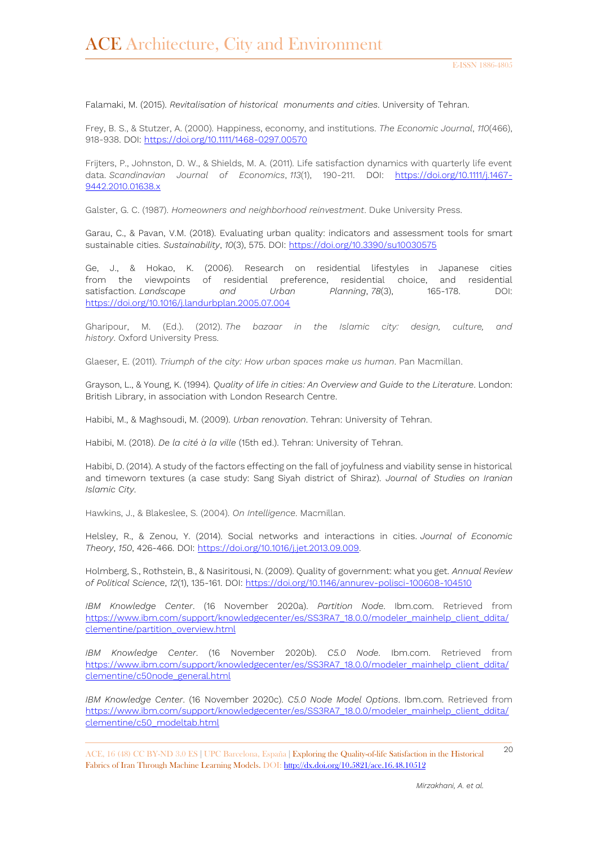Falamaki, M. (2015). *Revitalisation of historical monuments and cities*. University of Tehran.

Frey, B. S., & Stutzer, A. (2000). Happiness, economy, and institutions. *The Economic Journal*, *110*(466), 918-938. DOI:<https://doi.org/10.1111/1468-0297.00570>

Frijters, P., Johnston, D. W., & Shields, M. A. (2011). Life satisfaction dynamics with quarterly life event data. *Scandinavian Journal of Economics*, *113*(1), 190-211. DOI: [https://doi.org/10.1111/j.1467-](https://doi.org/10.1111/j.1467-9442.2010.01638.x) [9442.2010.01638.x](https://doi.org/10.1111/j.1467-9442.2010.01638.x)

Galster, G. C. (1987). *Homeowners and neighborhood reinvestment*. Duke University Press.

Garau, C., & Pavan, V.M. (2018). Evaluating urban quality: indicators and assessment tools for smart sustainable cities. *Sustainability*, *10*(3), 575. DOI:<https://doi.org/10.3390/su10030575>

Ge, J., & Hokao, K. (2006). Research on residential lifestyles in Japanese cities from the viewpoints of residential preference, residential choice, and residential satisfaction. *Landscape and Urban Planning*, *78*(3), 165-178. DOI: <https://doi.org/10.1016/j.landurbplan.2005.07.004>

Gharipour, M. (Ed.). (2012). *The bazaar in the Islamic city: design, culture, and history*. Oxford University Press.

Glaeser, E. (2011). *Triumph of the city: How urban spaces make us human*. Pan Macmillan.

Grayson, L., & Young, K. (1994). *Quality of life in cities: An Overview and Guide to the Literature*. London: British Library, in association with London Research Centre.

Habibi, M., & Maghsoudi, M. (2009). *Urban renovation*. Tehran: University of Tehran.

Habibi, M. (2018). *De la cité à la ville* (15th ed.). Tehran: University of Tehran.

Habibi, D. (2014). A study of the factors effecting on the fall of joyfulness and viability sense in historical and timeworn textures (a case study: Sang Siyah district of Shiraz). *Journal of Studies on Iranian Islamic City*.

Hawkins, J., & Blakeslee, S. (2004). *On Intelligence*. Macmillan.

Helsley, R., & Zenou, Y. (2014). Social networks and interactions in cities. *Journal of Economic Theory*, *150*, 426-466. DOI: [https://doi.org/10.1016/j.jet.2013.09.009.](https://doi.org/10.1016/j.jet.2013.09.009)

Holmberg, S., Rothstein, B., & Nasiritousi, N. (2009). Quality of government: what you get. *Annual Review of Political Science*, *12*(1), 135-161. DOI:<https://doi.org/10.1146/annurev-polisci-100608-104510>

*IBM Knowledge Center*. (16 November 2020a). *Partition Node*. Ibm.com. Retrieved from [https://www.ibm.com/support/knowledgecenter/es/SS3RA7\\_18.0.0/modeler\\_mainhelp\\_client\\_ddita/](https://www.ibm.com/support/knowledgecenter/es/SS3RA7_18.0.0/modeler_mainhelp_client_ddita/clementine/partition_overview.html) [clementine/partition\\_overview.html](https://www.ibm.com/support/knowledgecenter/es/SS3RA7_18.0.0/modeler_mainhelp_client_ddita/clementine/partition_overview.html)

*IBM Knowledge Center*. (16 November 2020b). *C5.0 Node*. Ibm.com. Retrieved from [https://www.ibm.com/support/knowledgecenter/es/SS3RA7\\_18.0.0/modeler\\_mainhelp\\_client\\_ddita/](https://www.ibm.com/support/knowledgecenter/es/SS3RA7_18.0.0/modeler_mainhelp_client_ddita/clementine/c50node_general.html) [clementine/c50node\\_general.html](https://www.ibm.com/support/knowledgecenter/es/SS3RA7_18.0.0/modeler_mainhelp_client_ddita/clementine/c50node_general.html)

*IBM Knowledge Center*. (16 November 2020c). *C5.0 Node Model Options*. Ibm.com. Retrieved from [https://www.ibm.com/support/knowledgecenter/es/SS3RA7\\_18.0.0/modeler\\_mainhelp\\_client\\_ddita/](https://www.ibm.com/support/knowledgecenter/es/SS3RA7_18.0.0/modeler_mainhelp_client_ddita/clementine/c50_modeltab.html) [clementine/c50\\_modeltab.html](https://www.ibm.com/support/knowledgecenter/es/SS3RA7_18.0.0/modeler_mainhelp_client_ddita/clementine/c50_modeltab.html)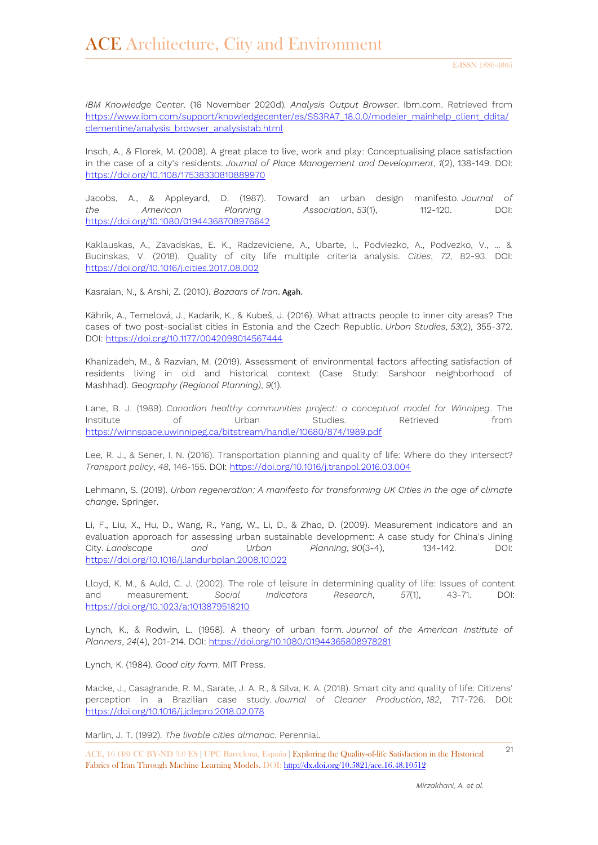*IBM Knowledge Center*. (16 November 2020d). *Analysis Output Browser*. Ibm.com. Retrieved from [https://www.ibm.com/support/knowledgecenter/es/SS3RA7\\_18.0.0/modeler\\_mainhelp\\_client\\_ddita/](https://www.ibm.com/support/knowledgecenter/es/SS3RA7_18.0.0/modeler_mainhelp_client_ddita/clementine/analysis_browser_analysistab.html) [clementine/analysis\\_browser\\_analysistab.html](https://www.ibm.com/support/knowledgecenter/es/SS3RA7_18.0.0/modeler_mainhelp_client_ddita/clementine/analysis_browser_analysistab.html)

Insch, A., & Florek, M. (2008). A great place to live, work and play: Conceptualising place satisfaction in the case of a city's residents. *Journal of Place Management and Development*, *1*(2), 138-149. DOI: <https://doi.org/10.1108/17538330810889970>

Jacobs, A., & Appleyard, D. (1987). Toward an urban design manifesto. *Journal of the American Planning Association*, *53*(1), 112-120. DOI: <https://doi.org/10.1080/01944368708976642>

Kaklauskas, A., Zavadskas, E. K., Radzeviciene, A., Ubarte, I., Podviezko, A., Podvezko, V., ... & Bucinskas, V. (2018). Quality of city life multiple criteria analysis. *Cities*, *72*, 82-93. DOI: <https://doi.org/10.1016/j.cities.2017.08.002>

Kasraian, N., & Arshi, Z. (2010). *Bazaars of Iran*. Agah.

Kährik, A., Temelová, J., Kadarik, K., & Kubeš, J. (2016). What attracts people to inner city areas? The cases of two post-socialist cities in Estonia and the Czech Republic. *Urban Studies*, *53*(2), 355-372. DOI:<https://doi.org/10.1177/0042098014567444>

Khanizadeh, M., & Razvian, M. (2019). Assessment of environmental factors affecting satisfaction of residents living in old and historical context (Case Study: Sarshoor neighborhood of Mashhad). *Geography (Regional Planning)*, *9*(1).

Lane, B. J. (1989). *Canadian healthy communities project: a conceptual model for Winnipeg*. The Institute of Urban Studies. Retrieved from [https://winnspace.uwinnipeg.ca/bitstream/handle/10680/874/1989.pdf](https://winnspace.uwinnipeg.ca/bitstream/handle/10680/874/1989-Lane-CanadianHealthyCommunitiesProject-WEB.pdf?sequence=1&isAllowed=y)

Lee, R. J., & Sener, I. N. (2016). Transportation planning and quality of life: Where do they intersect? *Transport policy*, *48*, 146-155. DOI:<https://doi.org/10.1016/j.tranpol.2016.03.004>

Lehmann, S. (2019). *Urban regeneration: A manifesto for transforming UK Cities in the age of climate change*. Springer.

Li, F., Liu, X., Hu, D., Wang, R., Yang, W., Li, D., & Zhao, D. (2009). Measurement indicators and an evaluation approach for assessing urban sustainable development: A case study for China's Jining City. *Landscape and Urban Planning*, *90*(3-4), 134-142. DOI: <https://doi.org/10.1016/j.landurbplan.2008.10.022>

Lloyd, K. M., & Auld, C. J. (2002). The role of leisure in determining quality of life: Issues of content and measurement. *Social Indicators Research*, *57*(1), 43-71. DOI: <https://doi.org/10.1023/a:1013879518210>

Lynch, K., & Rodwin, L. (1958). A theory of urban form. *Journal of the American Institute of Planners*, *24*(4), 201-214. DOI:<https://doi.org/10.1080/01944365808978281>

Lynch, K. (1984). *Good city form*. MIT Press.

Macke, J., Casagrande, R. M., Sarate, J. A. R., & Silva, K. A. (2018). Smart city and quality of life: Citizens' perception in a Brazilian case study. *Journal of Cleaner Production*, *182*, 717-726. DOI: <https://doi.org/10.1016/j.jclepro.2018.02.078>

Marlin, J. T. (1992). *The livable cities almanac*. Perennial.

<sup>21</sup> ACE, 16 (48) CC BY-ND 3.0 ES **<sup>|</sup>**UPC Barcelona, España **<sup>|</sup>** Exploring the Quality-of-life Satisfaction in the Historical Fabrics of Iran Through Machine Learning Models. DOI[: http://dx.doi.org/10.5821/ace.16.48.10512](http://dx.doi.org/10.5821/ace.16.48.10512)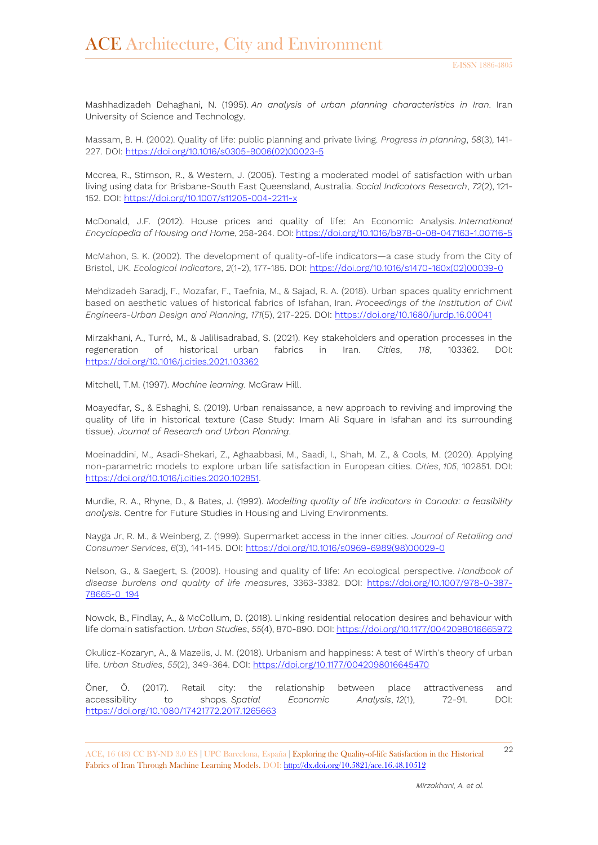Mashhadizadeh Dehaghani, N. (1995). *An analysis of urban planning characteristics in Iran*. Iran University of Science and Technology.

Massam, B. H. (2002). Quality of life: public planning and private living. *Progress in planning*, *58*(3), 141- 227. DOI: [https://doi.org/10.1016/s0305-9006\(02\)00023-5](https://doi.org/10.1016/s0305-9006(02)00023-5)

Mccrea, R., Stimson, R., & Western, J. (2005). Testing a moderated model of satisfaction with urban living using data for Brisbane-South East Queensland, Australia. *Social Indicators Research*, *72*(2), 121- 152. DOI:<https://doi.org/10.1007/s11205-004-2211-x>

McDonald, J.F. (2012). House prices and quality of life: An Economic Analysis. *International Encyclopedia of Housing and Home*, 258-264. DOI: <https://doi.org/10.1016/b978-0-08-047163-1.00716-5>

McMahon, S. K. (2002). The development of quality-of-life indicators—a case study from the City of Bristol, UK. *Ecological Indicators*, *2*(1-2), 177-185. DOI: [https://doi.org/10.1016/s1470-160x\(02\)00039-0](https://doi.org/10.1016/s1470-160x(02)00039-0)

Mehdizadeh Saradj, F., Mozafar, F., Taefnia, M., & Sajad, R. A. (2018). Urban spaces quality enrichment based on aesthetic values of historical fabrics of Isfahan, Iran. *Proceedings of the Institution of Civil Engineers-Urban Design and Planning*, *171*(5), 217-225. DOI:<https://doi.org/10.1680/jurdp.16.00041>

Mirzakhani, A., Turró, M., & Jalilisadrabad, S. (2021). Key stakeholders and operation processes in the regeneration of historical urban fabrics in Iran. *Cities*, *118*, 103362. DOI: <https://doi.org/10.1016/j.cities.2021.103362>

Mitchell, T.M. (1997). *Machine learning*. McGraw Hill.

Moayedfar, S., & Eshaghi, S. (2019). Urban renaissance, a new approach to reviving and improving the quality of life in historical texture (Case Study: Imam Ali Square in Isfahan and its surrounding tissue). *Journal of Research and Urban Planning*.

Moeinaddini, M., Asadi-Shekari, Z., Aghaabbasi, M., Saadi, I., Shah, M. Z., & Cools, M. (2020). Applying non-parametric models to explore urban life satisfaction in European cities. *Cities*, *105*, 102851. DOI: [https://doi.org/10.1016/j.cities.2020.102851.](https://doi.org/10.1016/j.cities.2020.102851)

Murdie, R. A., Rhyne, D., & Bates, J. (1992). *Modelling quality of life indicators in Canada: a feasibility analysis*. Centre for Future Studies in Housing and Living Environments.

Nayga Jr, R. M., & Weinberg, Z. (1999). Supermarket access in the inner cities. *Journal of Retailing and Consumer Services*, *6*(3), 141-145. DOI: [https://doi.org/10.1016/s0969-6989\(98\)00029-0](https://doi.org/10.1016/s0969-6989(98)00029-0)

Nelson, G., & Saegert, S. (2009). Housing and quality of life: An ecological perspective. *Handbook of disease burdens and quality of life measures*, 3363-3382. DOI: [https://doi.org/10.1007/978-0-387-](https://doi.org/10.1007/978-0-387-78665-0_194) [78665-0\\_194](https://doi.org/10.1007/978-0-387-78665-0_194)

Nowok, B., Findlay, A., & McCollum, D. (2018). Linking residential relocation desires and behaviour with life domain satisfaction. *Urban Studies*, *55*(4), 870-890. DOI:<https://doi.org/10.1177/0042098016665972>

Okulicz-Kozaryn, A., & Mazelis, J. M. (2018). Urbanism and happiness: A test of Wirth's theory of urban life. *Urban Studies*, *55*(2), 349-364. DOI:<https://doi.org/10.1177/0042098016645470>

Öner, Ö. (2017). Retail city: the relationship between place attractiveness and accessibility to shops. *Spatial Economic Analysis*, *12*(1), 72-91. DOI: <https://doi.org/10.1080/17421772.2017.1265663>

<sup>22</sup> ACE, 16 (48) CC BY-ND 3.0 ES **<sup>|</sup>**UPC Barcelona, España **<sup>|</sup>** Exploring the Quality-of-life Satisfaction in the Historical Fabrics of Iran Through Machine Learning Models. DOI[: http://dx.doi.org/10.5821/ace.16.48.10512](http://dx.doi.org/10.5821/ace.16.48.10512)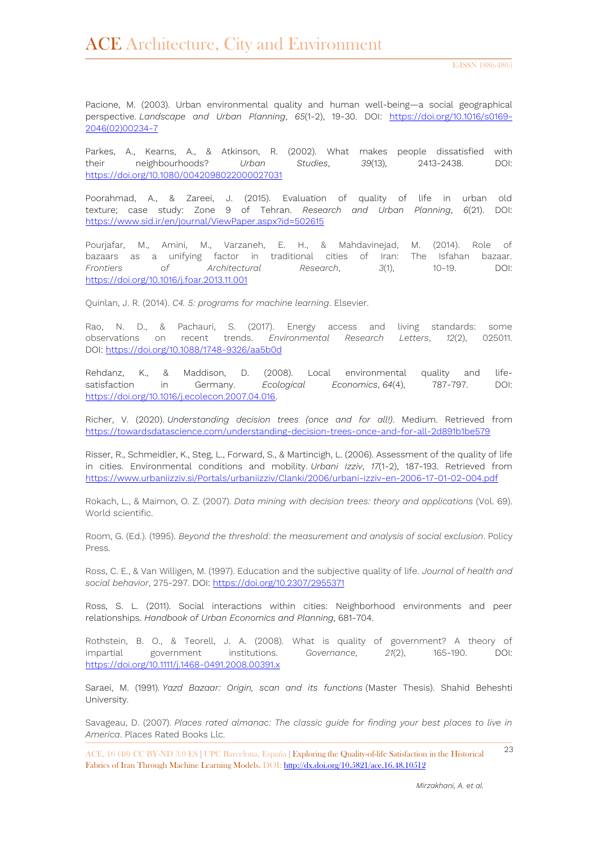Pacione, M. (2003). Urban environmental quality and human well-being—a social geographical perspective. *Landscape and Urban Planning*, *65*(1-2), 19-30. DOI: [https://doi.org/10.1016/s0169-](https://doi.org/10.1016/s0169-2046(02)00234-7) [2046\(02\)00234-7](https://doi.org/10.1016/s0169-2046(02)00234-7)

Parkes, A., Kearns, A., & Atkinson, R. (2002). What makes people dissatisfied with their neighbourhoods? *Urban Studies*, *39*(13), 2413-2438. DOI: <https://doi.org/10.1080/0042098022000027031>

Poorahmad, A., & Zareei, J. (2015). Evaluation of quality of life in urban old texture; case study: Zone 9 of Tehran. *Research and Urban Planning*, *6*(21). DOI: <https://www.sid.ir/en/journal/ViewPaper.aspx?id=502615>

Pourjafar, M., Amini, M., Varzaneh, E. H., & Mahdavinejad, M. (2014). Role of bazaars as a unifying factor in traditional cities of Iran: The Isfahan bazaar. *Frontiers of Architectural Research*, *3*(1), 10-19. DOI: <https://doi.org/10.1016/j.foar.2013.11.001>

Quinlan, J. R. (2014). *C4. 5: programs for machine learning*. Elsevier.

Rao, N. D., & Pachauri, S. (2017). Energy access and living standards: some observations on recent trends. *Environmental Research Letters*, *12*(2), 025011. DOI:<https://doi.org/10.1088/1748-9326/aa5b0d>

Rehdanz, K., & Maddison, D. (2008). Local environmental quality and lifesatisfaction in Germany. *Ecological Economics*, *64*(4), 787-797. DOI: [https://doi.org/10.1016/j.ecolecon.2007.04.016.](https://doi.org/10.1016/j.ecolecon.2007.04.016)

Richer, V. (2020). *Understanding decision trees (once and for all!)*. Medium. Retrieved from <https://towardsdatascience.com/understanding-decision-trees-once-and-for-all-2d891b1be579>

Risser, R., Schmeidler, K., Steg, L., Forward, S., & Martincigh, L. (2006). Assessment of the quality of life in cities. Environmental conditions and mobility. *Urbani Izziv*, *17*(1-2), 187-193. Retrieved from <https://www.urbaniizziv.si/Portals/urbaniizziv/Clanki/2006/urbani-izziv-en-2006-17-01-02-004.pdf>

Rokach, L., & Maimon, O. Z. (2007). *Data mining with decision trees: theory and applications* (Vol. 69). World scientific.

Room, G. (Ed.). (1995). *Beyond the threshold: the measurement and analysis of social exclusion*. Policy Press.

Ross, C. E., & Van Willigen, M. (1997). Education and the subjective quality of life. *Journal of health and social behavior*, 275-297. DOI:<https://doi.org/10.2307/2955371>

Ross, S. L. (2011). Social interactions within cities: Neighborhood environments and peer relationships. *Handbook of Urban Economics and Planning*, 681-704.

Rothstein, B. O., & Teorell, J. A. (2008). What is quality of government? A theory of impartial government institutions. *Governance*, *21*(2), 165-190. DOI: <https://doi.org/10.1111/j.1468-0491.2008.00391.x>

Saraei, M. (1991). *Yazd Bazaar: Origin, scan and its functions* (Master Thesis). Shahid Beheshti University.

Savageau, D. (2007). *Places rated almanac: The classic guide for finding your best places to live in America*. Places Rated Books Llc.

<sup>23</sup> ACE, 16 (48) CC BY-ND 3.0 ES **<sup>|</sup>**UPC Barcelona, España **<sup>|</sup>** Exploring the Quality-of-life Satisfaction in the Historical Fabrics of Iran Through Machine Learning Models. DOI[: http://dx.doi.org/10.5821/ace.16.48.10512](http://dx.doi.org/10.5821/ace.16.48.10512)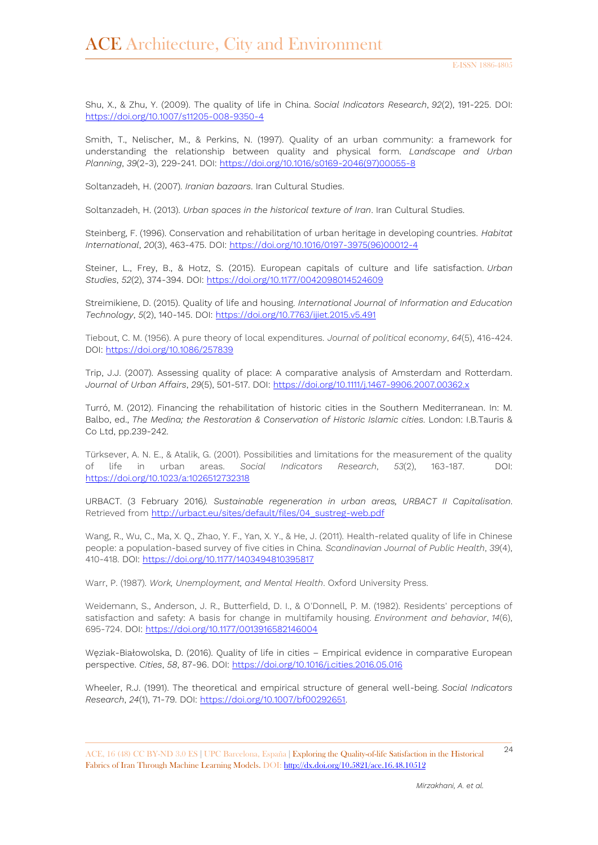Shu, X., & Zhu, Y. (2009). The quality of life in China. *Social Indicators Research*, *92*(2), 191-225. DOI: <https://doi.org/10.1007/s11205-008-9350-4>

Smith, T., Nelischer, M., & Perkins, N. (1997). Quality of an urban community: a framework for understanding the relationship between quality and physical form. *Landscape and Urban Planning*, *39*(2-3), 229-241. DOI: [https://doi.org/10.1016/s0169-2046\(97\)00055-8](https://doi.org/10.1016/s0169-2046(97)00055-8)

Soltanzadeh, H. (2007). *Iranian bazaars*. Iran Cultural Studies.

Soltanzadeh, H. (2013). *Urban spaces in the historical texture of Iran*. Iran Cultural Studies.

Steinberg, F. (1996). Conservation and rehabilitation of urban heritage in developing countries. *Habitat International*, *20*(3), 463-475. DOI: [https://doi.org/10.1016/0197-3975\(96\)00012-4](https://doi.org/10.1016/0197-3975(96)00012-4)

Steiner, L., Frey, B., & Hotz, S. (2015). European capitals of culture and life satisfaction. *Urban Studies*, *52*(2), 374-394. DOI:<https://doi.org/10.1177/0042098014524609>

Streimikiene, D. (2015). Quality of life and housing. *International Journal of Information and Education Technology*, *5*(2), 140-145. DOI:<https://doi.org/10.7763/ijiet.2015.v5.491>

Tiebout, C. M. (1956). A pure theory of local expenditures. *Journal of political economy*, *64*(5), 416-424. DOI:<https://doi.org/10.1086/257839>

Trip, J.J. (2007). Assessing quality of place: A comparative analysis of Amsterdam and Rotterdam. *Journal of Urban Affairs*, *29*(5), 501-517. DOI:<https://doi.org/10.1111/j.1467-9906.2007.00362.x>

Turró, M. (2012). Financing the rehabilitation of historic cities in the Southern Mediterranean. In: M. Balbo, ed., *The Medina; the Restoration & Conservation of Historic Islamic cities*. London: I.B.Tauris & Co Ltd, pp.239-242.

Türksever, A. N. E., & Atalik, G. (2001). Possibilities and limitations for the measurement of the quality of life in urban areas. *Social Indicators Research*, *53*(2), 163-187. DOI: <https://doi.org/10.1023/a:1026512732318>

URBACT. (3 February 2016*). Sustainable regeneration in urban areas, URBACT II Capitalisation*. Retrieved from [http://urbact.eu/sites/default/files/04\\_sustreg-web.pdf](http://urbact.eu/sites/default/files/04_sustreg-web.pdf)

Wang, R., Wu, C., Ma, X. Q., Zhao, Y. F., Yan, X. Y., & He, J. (2011). Health-related quality of life in Chinese people: a population-based survey of five cities in China. *Scandinavian Journal of Public Health*, *39*(4), 410-418. DOI:<https://doi.org/10.1177/1403494810395817>

Warr, P. (1987). *Work, Unemployment, and Mental Health*. Oxford University Press.

Weidemann, S., Anderson, J. R., Butterfield, D. I., & O'Donnell, P. M. (1982). Residents' perceptions of satisfaction and safety: A basis for change in multifamily housing. *Environment and behavior*, *14*(6), 695-724. DOI:<https://doi.org/10.1177/0013916582146004>

Węziak-Białowolska, D. (2016). Quality of life in cities – Empirical evidence in comparative European perspective. *Cities*, *58*, 87-96. DOI:<https://doi.org/10.1016/j.cities.2016.05.016>

Wheeler, R.J. (1991). The theoretical and empirical structure of general well-being. *Social Indicators Research*, *24*(1), 71-79. DOI: [https://doi.org/10.1007/bf00292651.](https://doi.org/10.1007/bf00292651)

<sup>24</sup> ACE, 16 (48) CC BY-ND 3.0 ES **<sup>|</sup>**UPC Barcelona, España **<sup>|</sup>** Exploring the Quality-of-life Satisfaction in the Historical Fabrics of Iran Through Machine Learning Models. DOI[: http://dx.doi.org/10.5821/ace.16.48.10512](http://dx.doi.org/10.5821/ace.16.48.10512)